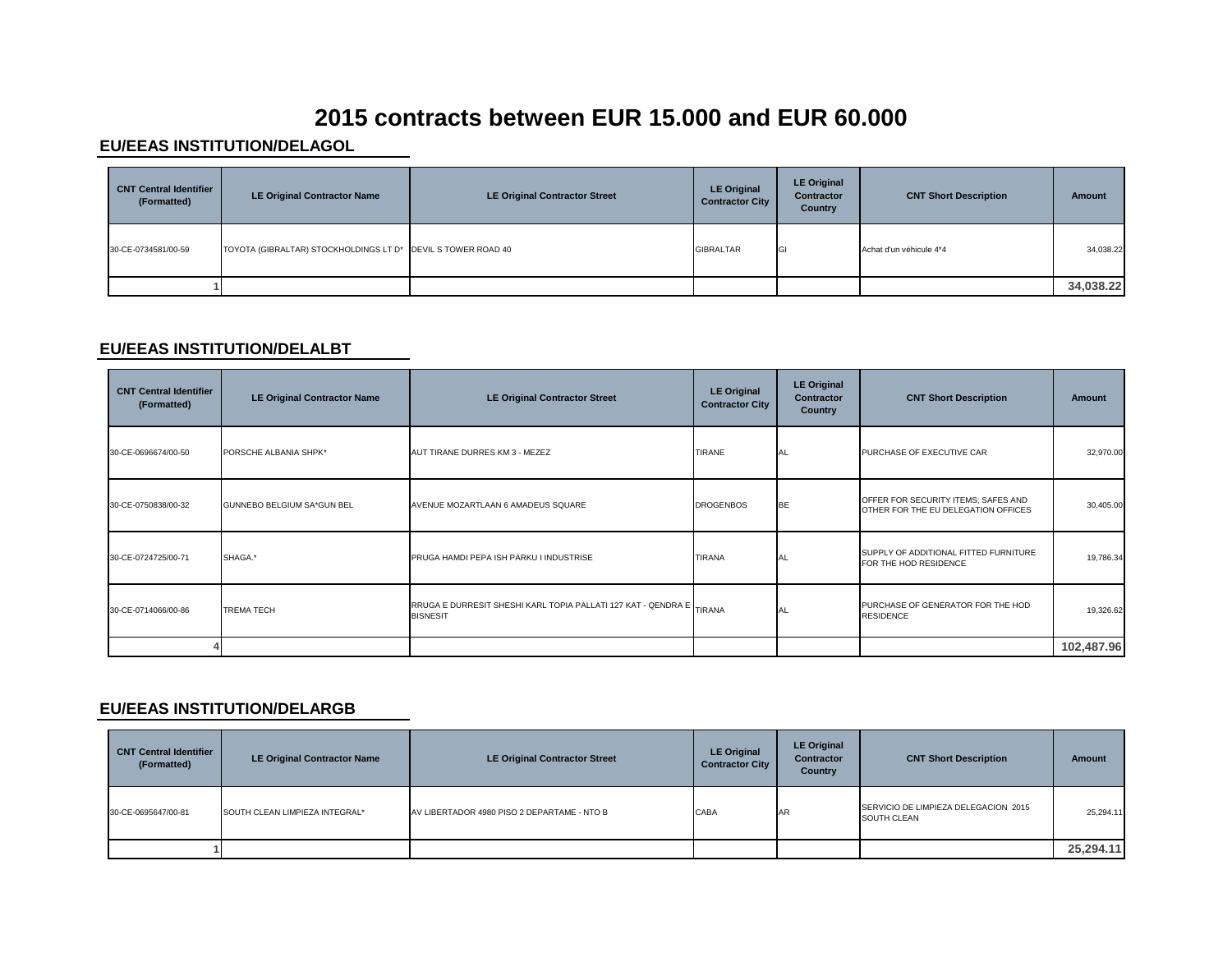# **2015 contracts between EUR 15.000 and EUR 60.000**

#### **EU/EEAS INSTITUTION/DELAGOL**

| <b>CNT Central Identifier</b><br>(Formatted) | <b>LE Original Contractor Name</b>                           | <b>LE Original Contractor Street</b> | <b>LE Original</b><br><b>Contractor City</b> | <b>LE Original</b><br>Contractor<br>Country | <b>CNT Short Description</b> | Amount    |
|----------------------------------------------|--------------------------------------------------------------|--------------------------------------|----------------------------------------------|---------------------------------------------|------------------------------|-----------|
| 30-CE-0734581/00-59                          | TOYOTA (GIBRALTAR) STOCKHOLDINGS LT D* DEVIL S TOWER ROAD 40 |                                      | <b>GIBRALTAR</b>                             |                                             | Achat d'un véhicule 4*4      | 34,038.22 |
|                                              |                                                              |                                      |                                              |                                             |                              | 34,038.22 |

### **EU/EEAS INSTITUTION/DELALBT**

| <b>CNT Central Identifier</b><br>(Formatted) | <b>LE Original Contractor Name</b> | <b>LE Original Contractor Street</b>                                                    | <b>LE Original</b><br><b>Contractor City</b> | <b>LE Original</b><br><b>Contractor</b><br>Country | <b>CNT Short Description</b>                                               | <b>Amount</b> |
|----------------------------------------------|------------------------------------|-----------------------------------------------------------------------------------------|----------------------------------------------|----------------------------------------------------|----------------------------------------------------------------------------|---------------|
| 30-CE-0696674/00-50                          | PORSCHE ALBANIA SHPK*              | AUT TIRANE DURRES KM 3 - MEZEZ                                                          | <b>TIRANE</b>                                | AL.                                                | PURCHASE OF EXECUTIVE CAR                                                  | 32,970.00     |
| 30-CE-0750838/00-32                          | GUNNEBO BELGIUM SA*GUN BEL         | AVENUE MOZARTLAAN 6 AMADEUS SQUARE                                                      | <b>DROGENBOS</b>                             | <b>BE</b>                                          | OFFER FOR SECURITY ITEMS; SAFES AND<br>OTHER FOR THE EU DELEGATION OFFICES | 30,405.00     |
| 30-CE-0724725/00-71                          | SHAGA.*                            | PRUGA HAMDI PEPA ISH PARKU I INDUSTRISE                                                 | <b>TIRANA</b>                                | <b>AL</b>                                          | SUPPLY OF ADDITIONAL FITTED FURNITURE<br>FOR THE HOD RESIDENCE             | 19,786.34     |
| 30-CE-0714066/00-86                          | <b>TREMA TECH</b>                  | RRUGA E DURRESIT SHESHI KARL TOPIA PALLATI 127 KAT - QENDRA E TIRANA<br><b>BISNESIT</b> |                                              | AL.                                                | PURCHASE OF GENERATOR FOR THE HOD<br><b>RESIDENCE</b>                      | 19,326.62     |
|                                              |                                    |                                                                                         |                                              |                                                    |                                                                            | 102,487.96    |

#### **EU/EEAS INSTITUTION/DELARGB**

| <b>CNT Central Identifier</b><br>(Formatted) | <b>LE Original Contractor Name</b> | <b>LE Original Contractor Street</b>        | <b>LE Original</b><br><b>Contractor City</b> | <b>LE Original</b><br><b>Contractor</b><br><b>Country</b> | <b>CNT Short Description</b>                        | Amount    |
|----------------------------------------------|------------------------------------|---------------------------------------------|----------------------------------------------|-----------------------------------------------------------|-----------------------------------------------------|-----------|
| 30-CE-0695647/00-81                          | SOUTH CLEAN LIMPIEZA INTEGRAL*     | AV LIBERTADOR 4980 PISO 2 DEPARTAME - NTO B | CABA                                         | <b>IAR</b>                                                | SERVICIO DE LIMPIEZA DELEGACION 2015<br>SOUTH CLEAN | 25,294.11 |
|                                              |                                    |                                             |                                              |                                                           |                                                     | 25,294.11 |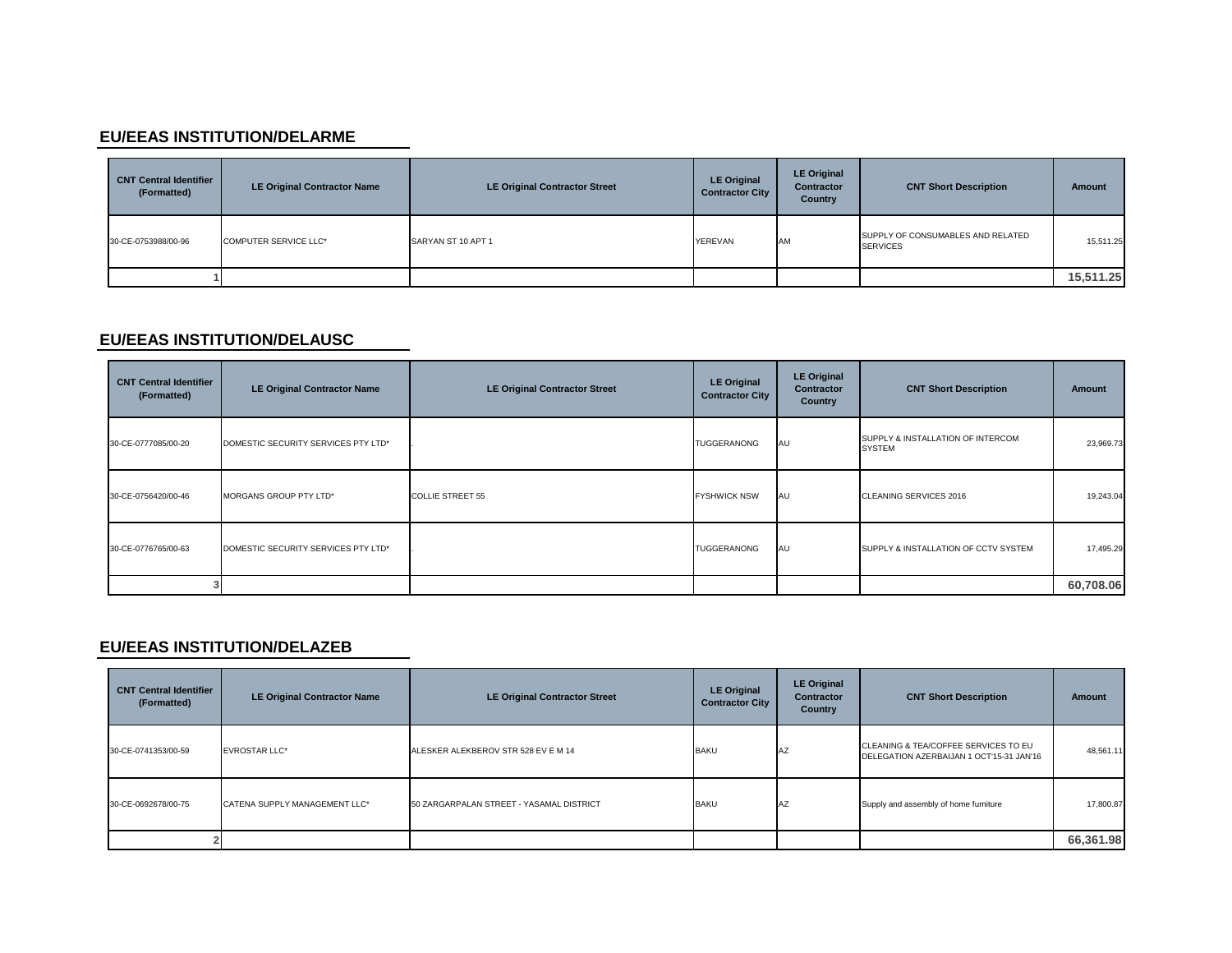### **EU/EEAS INSTITUTION/DELARME**

| <b>CNT Central Identifier</b><br>(Formatted) | <b>LE Original Contractor Name</b> | <b>LE Original Contractor Street</b> | <b>LE Original</b><br><b>Contractor City</b> | <b>LE Original</b><br>Contractor<br>Country | <b>CNT Short Description</b>                         | Amount    |
|----------------------------------------------|------------------------------------|--------------------------------------|----------------------------------------------|---------------------------------------------|------------------------------------------------------|-----------|
| 30-CE-0753988/00-96                          | <b>COMPUTER SERVICE LLC*</b>       | SARYAN ST 10 APT 1                   | YEREVAN                                      | <b>AM</b>                                   | SUPPLY OF CONSUMABLES AND RELATED<br><b>SERVICES</b> | 15,511.25 |
|                                              |                                    |                                      |                                              |                                             |                                                      | 15,511.25 |

# **EU/EEAS INSTITUTION/DELAUSC**

| <b>CNT Central Identifier</b><br>(Formatted) | <b>LE Original Contractor Name</b>  | <b>LE Original Contractor Street</b> | <b>LE Original</b><br><b>Contractor City</b> | <b>LE Original</b><br>Contractor<br>Country | <b>CNT Short Description</b>                       | Amount    |
|----------------------------------------------|-------------------------------------|--------------------------------------|----------------------------------------------|---------------------------------------------|----------------------------------------------------|-----------|
| 30-CE-0777085/00-20                          | DOMESTIC SECURITY SERVICES PTY LTD* |                                      | TUGGERANONG                                  | AU                                          | SUPPLY & INSTALLATION OF INTERCOM<br><b>SYSTEM</b> | 23,969.73 |
| 30-CE-0756420/00-46                          | MORGANS GROUP PTY LTD*              | <b>COLLIE STREET 55</b>              | <b>FYSHWICK NSW</b>                          | AU                                          | CLEANING SERVICES 2016                             | 19,243.04 |
| 30-CE-0776765/00-63                          | DOMESTIC SECURITY SERVICES PTY LTD* |                                      | <b>TUGGERANONG</b>                           | AU                                          | SUPPLY & INSTALLATION OF CCTV SYSTEM               | 17,495.29 |
|                                              |                                     |                                      |                                              |                                             |                                                    | 60,708.06 |

### **EU/EEAS INSTITUTION/DELAZEB**

| <b>CNT Central Identifier</b><br>(Formatted) | <b>LE Original Contractor Name</b> | <b>LE Original Contractor Street</b>     | <b>LE Original</b><br><b>Contractor City</b> | <b>LE Original</b><br><b>Contractor</b><br>Country | <b>CNT Short Description</b>                                                     | <b>Amount</b> |
|----------------------------------------------|------------------------------------|------------------------------------------|----------------------------------------------|----------------------------------------------------|----------------------------------------------------------------------------------|---------------|
| 30-CE-0741353/00-59                          | <b>EVROSTAR LLC*</b>               | ALESKER ALEKBEROV STR 528 EV E M 14      | <b>BAKU</b>                                  | AZ                                                 | CLEANING & TEA/COFFEE SERVICES TO EU<br>DELEGATION AZERBAIJAN 1 OCT'15-31 JAN'16 | 48,561.11     |
| 30-CE-0692678/00-75                          | CATENA SUPPLY MANAGEMENT LLC*      | 50 ZARGARPALAN STREET - YASAMAL DISTRICT | <b>BAKU</b>                                  | <b>IAZ</b>                                         | Supply and assembly of home furniture                                            | 17,800.87     |
|                                              |                                    |                                          |                                              |                                                    |                                                                                  | 66,361.98     |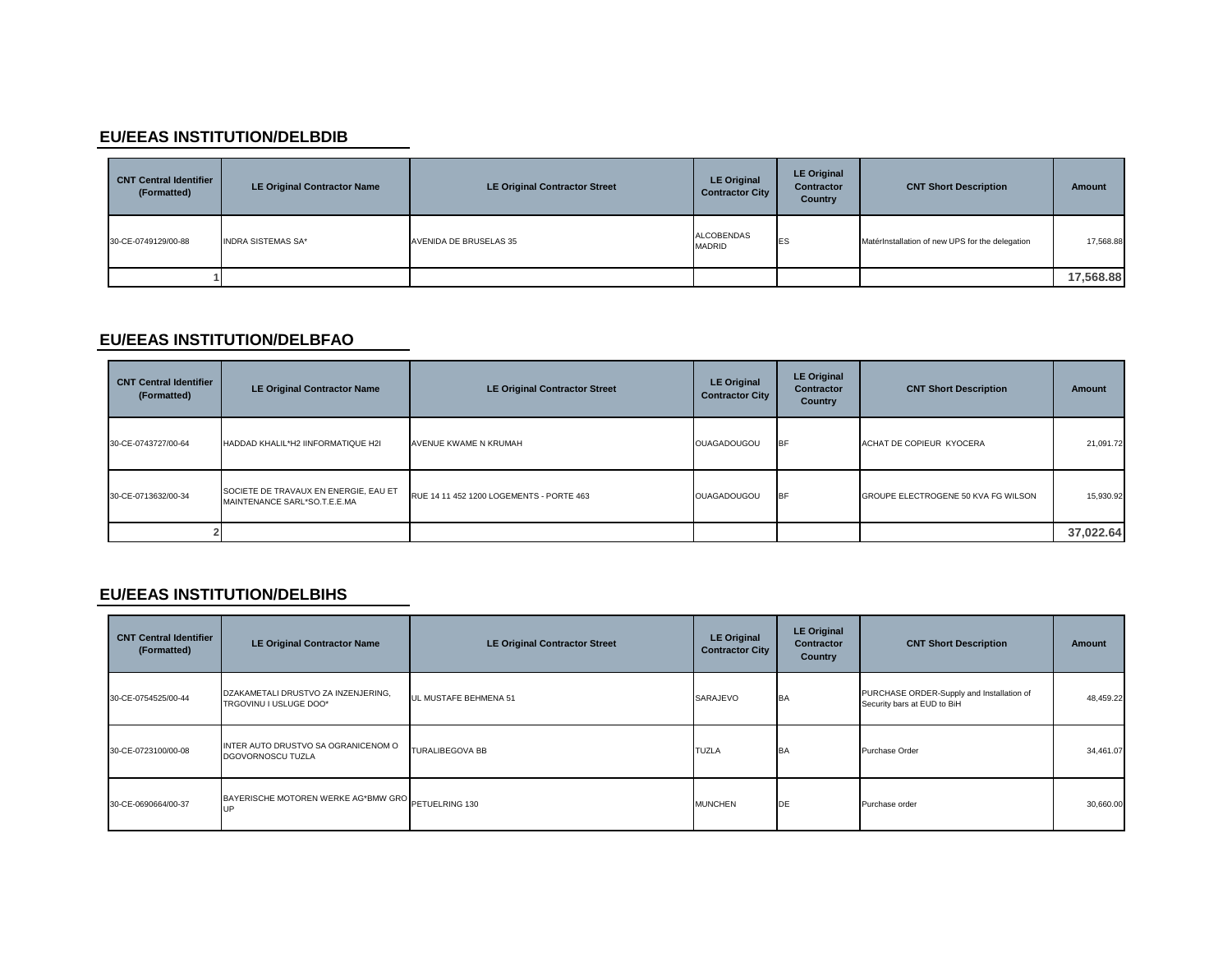### **EU/EEAS INSTITUTION/DELBDIB**

| <b>CNT Central Identifier</b><br>(Formatted) | <b>LE Original Contractor Name</b> | <b>LE Original Contractor Street</b> | <b>LE Original</b><br><b>Contractor City</b> | <b>LE Original</b><br>Contractor<br>Country | <b>CNT Short Description</b>                    | Amount    |
|----------------------------------------------|------------------------------------|--------------------------------------|----------------------------------------------|---------------------------------------------|-------------------------------------------------|-----------|
| 30-CE-0749129/00-88                          | <b>INDRA SISTEMAS SA*</b>          | AVENIDA DE BRUSELAS 35               | <b>ALCOBENDAS</b><br><b>MADRID</b>           | <b>IES</b>                                  | MatérInstallation of new UPS for the delegation | 17,568.88 |
|                                              |                                    |                                      |                                              |                                             |                                                 | 17,568.88 |

### **EU/EEAS INSTITUTION/DELBFAO**

| <b>CNT Central Identifier</b><br>(Formatted) | <b>LE Original Contractor Name</b>                                    | <b>LE Original Contractor Street</b>     | <b>LE Original</b><br><b>Contractor City</b> | <b>LE Original</b><br><b>Contractor</b><br>Country | <b>CNT Short Description</b>        | <b>Amount</b> |
|----------------------------------------------|-----------------------------------------------------------------------|------------------------------------------|----------------------------------------------|----------------------------------------------------|-------------------------------------|---------------|
| 30-CE-0743727/00-64                          | HADDAD KHALIL*H2 IINFORMATIQUE H2I                                    | AVENUE KWAME N KRUMAH                    | <b>OUAGADOUGOU</b>                           | <b>IBF</b>                                         | ACHAT DE COPIEUR KYOCERA            | 21,091.72     |
| 30-CE-0713632/00-34                          | SOCIETE DE TRAVAUX EN ENERGIE, EAU ET<br>MAINTENANCE SARL*SO.T.E.E.MA | RUE 14 11 452 1200 LOGEMENTS - PORTE 463 | <b>OUAGADOUGOU</b>                           | <b>I</b> BF                                        | GROUPE ELECTROGENE 50 KVA FG WILSON | 15,930.92     |
|                                              |                                                                       |                                          |                                              |                                                    |                                     | 37,022.64     |

### **EU/EEAS INSTITUTION/DELBIHS**

| <b>CNT Central Identifier</b><br>(Formatted) | <b>LE Original Contractor Name</b>                            | <b>LE Original Contractor Street</b> | <b>LE Original</b><br><b>Contractor City</b> | <b>LE Original</b><br><b>Contractor</b><br>Country | <b>CNT Short Description</b>                                             | <b>Amount</b> |
|----------------------------------------------|---------------------------------------------------------------|--------------------------------------|----------------------------------------------|----------------------------------------------------|--------------------------------------------------------------------------|---------------|
| 30-CE-0754525/00-44                          | DZAKAMETALI DRUSTVO ZA INZENJERING,<br>TRGOVINU I USLUGE DOO* | UL MUSTAFE BEHMENA 51                | SARAJEVO                                     | BA                                                 | PURCHASE ORDER-Supply and Installation of<br>Security bars at EUD to BiH | 48,459.22     |
| 30-CE-0723100/00-08                          | INTER AUTO DRUSTVO SA OGRANICENOM O<br>DGOVORNOSCU TUZLA      | <b>TURALIBEGOVA BB</b>               | <b>TUZLA</b>                                 | BA                                                 | Purchase Order                                                           | 34,461.07     |
| 30-CE-0690664/00-37                          | BAYERISCHE MOTOREN WERKE AG*BMW GRO PETUELRING 130            |                                      | <b>MUNCHEN</b>                               | DE                                                 | Purchase order                                                           | 30,660.00     |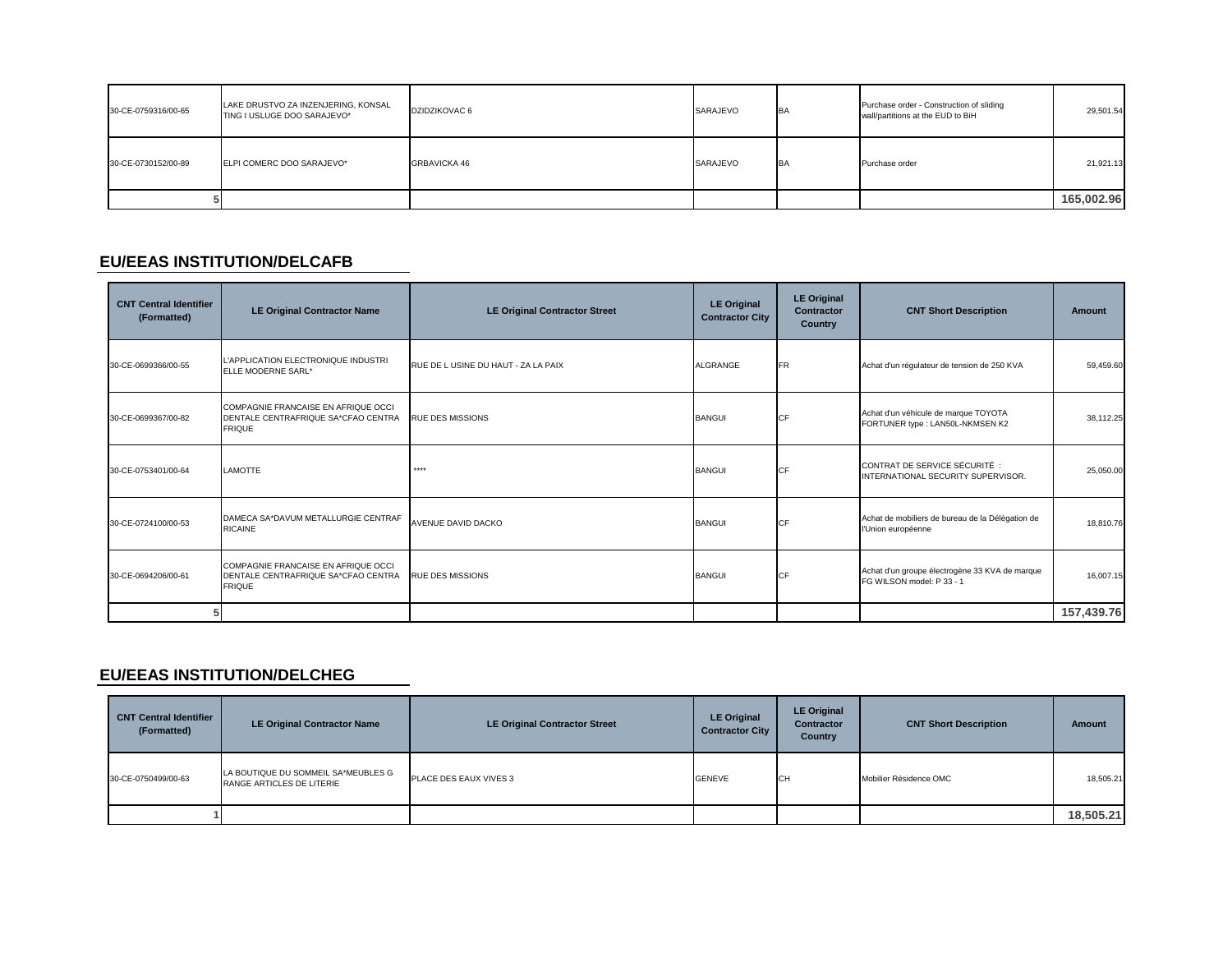| 30-CE-0759316/00-65 | LAKE DRUSTVO ZA INZENJERING, KONSAL<br>TING I USLUGE DOO SARAJEVO* | DZIDZIKOVAC 6       | SARAJEVO | <b>BA</b> | Purchase order - Construction of sliding<br>wall/partitions at the EUD to BiH | 29,501.54  |
|---------------------|--------------------------------------------------------------------|---------------------|----------|-----------|-------------------------------------------------------------------------------|------------|
| 30-CE-0730152/00-89 | ELPI COMERC DOO SARAJEVO*                                          | <b>GRBAVICKA 46</b> | SARAJEVO | <b>BA</b> | Purchase order                                                                | 21,921.13  |
|                     |                                                                    |                     |          |           |                                                                               | 165,002.96 |

### **EU/EEAS INSTITUTION/DELCAFB**

| <b>CNT Central Identifier</b><br>(Formatted) | <b>LE Original Contractor Name</b>                                                          | <b>LE Original Contractor Street</b> | <b>LE Original</b><br><b>Contractor City</b> | <b>LE Original</b><br><b>Contractor</b><br>Country | <b>CNT Short Description</b>                                                | <b>Amount</b> |
|----------------------------------------------|---------------------------------------------------------------------------------------------|--------------------------------------|----------------------------------------------|----------------------------------------------------|-----------------------------------------------------------------------------|---------------|
| 30-CE-0699366/00-55                          | L'APPLICATION ELECTRONIQUE INDUSTRI<br>ELLE MODERNE SARL*                                   | RUE DE LUSINE DU HAUT - ZA LA PAIX   | ALGRANGE                                     | <b>FR</b>                                          | Achat d'un régulateur de tension de 250 KVA                                 | 59,459.60     |
| 30-CE-0699367/00-82                          | COMPAGNIE FRANCAISE EN AFRIQUE OCCI<br>DENTALE CENTRAFRIQUE SA*CFAO CENTRA<br><b>FRIQUE</b> | <b>RUE DES MISSIONS</b>              | <b>BANGUI</b>                                | CF                                                 | Achat d'un véhicule de marque TOYOTA<br>FORTUNER type : LAN50L-NKMSEN K2    | 38,112.25     |
| 30-CE-0753401/00-64                          | <b>LAMOTTE</b>                                                                              | ****                                 | <b>BANGUI</b>                                | CF                                                 | CONTRAT DE SERVICE SÉCURITÉ :<br>INTERNATIONAL SECURITY SUPERVISOR.         | 25,050.00     |
| 30-CE-0724100/00-53                          | DAMECA SA*DAVUM METALLURGIE CENTRAF<br><b>RICAINE</b>                                       | <b>AVENUE DAVID DACKO</b>            | <b>BANGUI</b>                                | CF                                                 | Achat de mobiliers de bureau de la Délégation de<br>l'Union européenne      | 18,810.76     |
| 30-CE-0694206/00-61                          | COMPAGNIE FRANCAISE EN AFRIQUE OCCI<br>DENTALE CENTRAFRIQUE SA*CFAO CENTRA<br><b>FRIQUE</b> | <b>RUE DES MISSIONS</b>              | <b>BANGUI</b>                                | СF                                                 | Achat d'un groupe électrogène 33 KVA de marque<br>FG WILSON model: P 33 - 1 | 16,007.15     |
|                                              |                                                                                             |                                      |                                              |                                                    |                                                                             | 157,439.76    |

### **EU/EEAS INSTITUTION/DELCHEG**

| <b>CNT Central Identifier</b><br>(Formatted) | <b>LE Original Contractor Name</b>                               | <b>LE Original Contractor Street</b> | <b>LE Original</b><br><b>Contractor City</b> | <b>LE Original</b><br><b>Contractor</b><br>Country | <b>CNT Short Description</b> | Amount    |
|----------------------------------------------|------------------------------------------------------------------|--------------------------------------|----------------------------------------------|----------------------------------------------------|------------------------------|-----------|
| 30-CE-0750499/00-63                          | LA BOUTIQUE DU SOMMEIL SA*MEUBLES G<br>RANGE ARTICLES DE LITERIE | PLACE DES EAUX VIVES 3               | <b>GENEVE</b>                                | CH                                                 | Mobilier Résidence OMC       | 18,505.21 |
|                                              |                                                                  |                                      |                                              |                                                    |                              | 18,505.21 |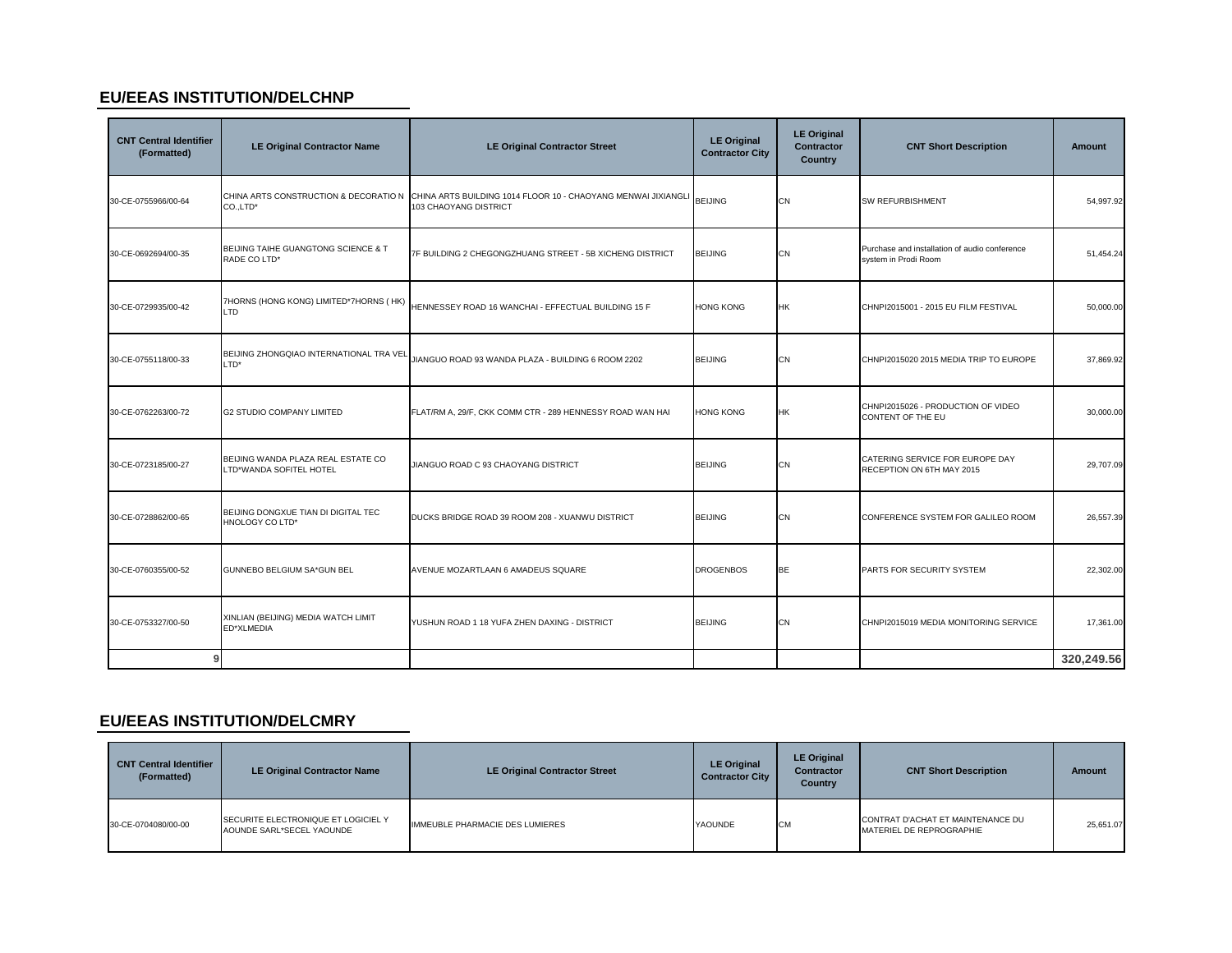### **EU/EEAS INSTITUTION/DELCHNP**

| <b>CNT Central Identifier</b><br>(Formatted) | <b>LE Original Contractor Name</b>                            | <b>LE Original Contractor Street</b>                                                                                                 | <b>LE Original</b><br><b>Contractor City</b> | <b>LE Original</b><br>Contractor<br><b>Country</b> | <b>CNT Short Description</b>                                          | <b>Amount</b> |
|----------------------------------------------|---------------------------------------------------------------|--------------------------------------------------------------------------------------------------------------------------------------|----------------------------------------------|----------------------------------------------------|-----------------------------------------------------------------------|---------------|
| 30-CE-0755966/00-64                          | CO.,LTD*                                                      | CHINA ARTS CONSTRUCTION & DECORATIO N CHINA ARTS BUILDING 1014 FLOOR 10 - CHAOYANG MENWAI JIXIANGLI BEIJING<br>103 CHAOYANG DISTRICT |                                              | CN                                                 | <b>SW REFURBISHMENT</b>                                               | 54,997.92     |
| 30-CE-0692694/00-35                          | BEIJING TAIHE GUANGTONG SCIENCE & T<br>RADE CO LTD*           | 7F BUILDING 2 CHEGONGZHUANG STREET - 5B XICHENG DISTRICT                                                                             | <b>BEIJING</b>                               | <b>CN</b>                                          | Purchase and installation of audio conference<br>system in Prodi Room | 51,454.24     |
| 30-CE-0729935/00-42                          | 7HORNS (HONG KONG) LIMITED*7HORNS (HK)<br>LTD                 | HENNESSEY ROAD 16 WANCHAI - EFFECTUAL BUILDING 15 F                                                                                  | <b>HONG KONG</b>                             | <b>HK</b>                                          | CHNPI2015001 - 2015 EU FILM FESTIVAL                                  | 50,000.00     |
| 30-CE-0755118/00-33                          | BEIJING ZHONGQIAO INTERNATIONAL TRA VEL<br>LTD*               | JIANGUO ROAD 93 WANDA PLAZA - BUILDING 6 ROOM 2202                                                                                   | <b>BEIJING</b>                               | CN                                                 | CHNPI2015020 2015 MEDIA TRIP TO EUROPE                                | 37,869.92     |
| 30-CE-0762263/00-72                          | <b>G2 STUDIO COMPANY LIMITED</b>                              | FLAT/RM A, 29/F, CKK COMM CTR - 289 HENNESSY ROAD WAN HAI                                                                            | <b>HONG KONG</b>                             | <b>HK</b>                                          | CHNPI2015026 - PRODUCTION OF VIDEO<br>CONTENT OF THE EU               | 30,000.00     |
| 30-CE-0723185/00-27                          | BEIJING WANDA PLAZA REAL ESTATE CO<br>LTD*WANDA SOFITEL HOTEL | JIANGUO ROAD C 93 CHAOYANG DISTRICT                                                                                                  | <b>BEIJING</b>                               | CN                                                 | CATERING SERVICE FOR EUROPE DAY<br>RECEPTION ON 6TH MAY 2015          | 29,707.09     |
| 30-CE-0728862/00-65                          | BEIJING DONGXUE TIAN DI DIGITAL TEC<br><b>HNOLOGY CO LTD*</b> | DUCKS BRIDGE ROAD 39 ROOM 208 - XUANWU DISTRICT                                                                                      | <b>BEIJING</b>                               | CN                                                 | CONFERENCE SYSTEM FOR GALILEO ROOM                                    | 26,557.39     |
| 30-CE-0760355/00-52                          | GUNNEBO BELGIUM SA*GUN BEL                                    | AVENUE MOZARTLAAN 6 AMADEUS SQUARE                                                                                                   | <b>DROGENBOS</b>                             | <b>BE</b>                                          | PARTS FOR SECURITY SYSTEM                                             | 22,302.00     |
| 30-CE-0753327/00-50                          | XINLIAN (BEIJING) MEDIA WATCH LIMIT<br>ED*XLMEDIA             | YUSHUN ROAD 1 18 YUFA ZHEN DAXING - DISTRICT                                                                                         | <b>BEIJING</b>                               | <b>CN</b>                                          | CHNPI2015019 MEDIA MONITORING SERVICE                                 | 17,361.00     |
| 9                                            |                                                               |                                                                                                                                      |                                              |                                                    |                                                                       | 320,249.56    |

### **EU/EEAS INSTITUTION/DELCMRY**

| <b>CNT Central Identifier</b><br>(Formatted) | LE Original Contractor Name                                      | <b>LE Original Contractor Street</b> | <b>LE Original</b><br><b>Contractor City</b> | <b>LE Original</b><br><b>Contractor</b><br>Country | <b>CNT Short Description</b>                                  | Amount    |
|----------------------------------------------|------------------------------------------------------------------|--------------------------------------|----------------------------------------------|----------------------------------------------------|---------------------------------------------------------------|-----------|
| 30-CE-0704080/00-00                          | SECURITE ELECTRONIQUE ET LOGICIEL Y<br>AOUNDE SARL*SECEL YAOUNDE | IMMEUBLE PHARMACIE DES LUMIERES      | <b>YAOUNDE</b>                               | <b>CM</b>                                          | CONTRAT D'ACHAT ET MAINTENANCE DU<br>MATERIEL DE REPROGRAPHIE | 25.651.07 |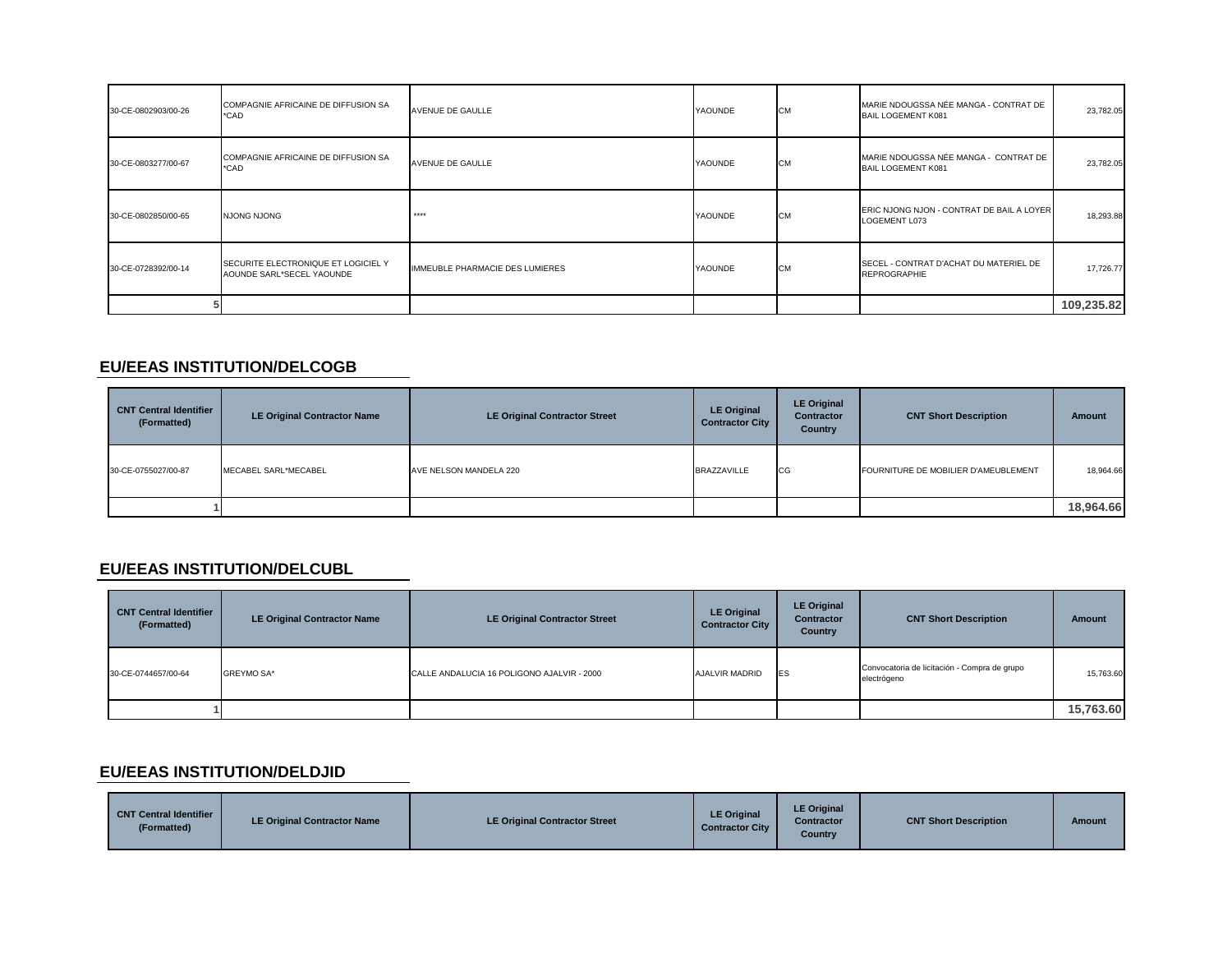| 30-CE-0802903/00-26 | COMPAGNIE AFRICAINE DE DIFFUSION SA<br>*CAD                      | <b>AVENUE DE GAULLE</b>         | YAOUNDE | <b>CM</b> | MARIE NDOUGSSA NÉE MANGA - CONTRAT DE<br><b>BAIL LOGEMENT K081</b> | 23,782.05  |
|---------------------|------------------------------------------------------------------|---------------------------------|---------|-----------|--------------------------------------------------------------------|------------|
| 30-CE-0803277/00-67 | COMPAGNIE AFRICAINE DE DIFFUSION SA<br>*CAD                      | <b>AVENUE DE GAULLE</b>         | YAOUNDE | <b>CM</b> | MARIE NDOUGSSA NÉE MANGA - CONTRAT DE<br><b>BAIL LOGEMENT K081</b> | 23,782.05  |
| 30-CE-0802850/00-65 | <b>NJONG NJONG</b>                                               | ****                            | YAOUNDE | <b>CM</b> | ERIC NJONG NJON - CONTRAT DE BAIL À LOYER<br>LOGEMENT L073         | 18,293.88  |
| 30-CE-0728392/00-14 | SECURITE ELECTRONIQUE ET LOGICIEL Y<br>AOUNDE SARL*SECEL YAOUNDE | IMMEUBLE PHARMACIE DES LUMIERES | YAOUNDE | <b>CM</b> | SECEL - CONTRAT D'ACHAT DU MATERIEL DE<br><b>REPROGRAPHIE</b>      | 17,726.77  |
|                     |                                                                  |                                 |         |           |                                                                    | 109,235.82 |

### **EU/EEAS INSTITUTION/DELCOGB**

| <b>CNT Central Identifier</b><br>(Formatted) | <b>LE Original Contractor Name</b> | <b>LE Original Contractor Street</b> | <b>LE Original</b><br><b>Contractor City</b> | <b>LE Original</b><br><b>Contractor</b><br><b>Country</b> | <b>CNT Short Description</b>         | <b>Amount</b> |
|----------------------------------------------|------------------------------------|--------------------------------------|----------------------------------------------|-----------------------------------------------------------|--------------------------------------|---------------|
| 30-CE-0755027/00-87                          | MECABEL SARL*MECABEL               | AVE NELSON MANDELA 220               | BRAZZAVILLE                                  | CG                                                        | FOURNITURE DE MOBILIER D'AMEUBLEMENT | 18,964.66     |
|                                              |                                    |                                      |                                              |                                                           |                                      | 18,964.66     |

### **EU/EEAS INSTITUTION/DELCUBL**

| <b>CNT Central Identifier</b><br>(Formatted) | <b>LE Original Contractor Name</b> | <b>LE Original Contractor Street</b>       | <b>LE Original</b><br><b>Contractor City</b> | <b>LE Original</b><br><b>Contractor</b><br><b>Country</b> | <b>CNT Short Description</b>                                | <b>Amount</b> |
|----------------------------------------------|------------------------------------|--------------------------------------------|----------------------------------------------|-----------------------------------------------------------|-------------------------------------------------------------|---------------|
| 30-CE-0744657/00-64                          | <b>GREYMO SA*</b>                  | CALLE ANDALUCIA 16 POLIGONO AJALVIR - 2000 | <b>AJALVIR MADRID</b>                        | <b>IES</b>                                                | Convocatoria de licitación - Compra de grupo<br>electrógeno | 15,763.60     |
|                                              |                                    |                                            |                                              |                                                           |                                                             | 15,763.60     |

### **EU/EEAS INSTITUTION/DELDJID**

| <b>CNT Central Identifier</b><br>'Formatted) | LE Original Contractor Name | <b>LE Original Contractor Street</b> | <b>LE Original</b><br><b>Contractor City</b> | <b>LE Original</b><br><b>Contractor</b><br>Country | <b>CNT Short Description</b> | <b>Amount</b> |
|----------------------------------------------|-----------------------------|--------------------------------------|----------------------------------------------|----------------------------------------------------|------------------------------|---------------|
|----------------------------------------------|-----------------------------|--------------------------------------|----------------------------------------------|----------------------------------------------------|------------------------------|---------------|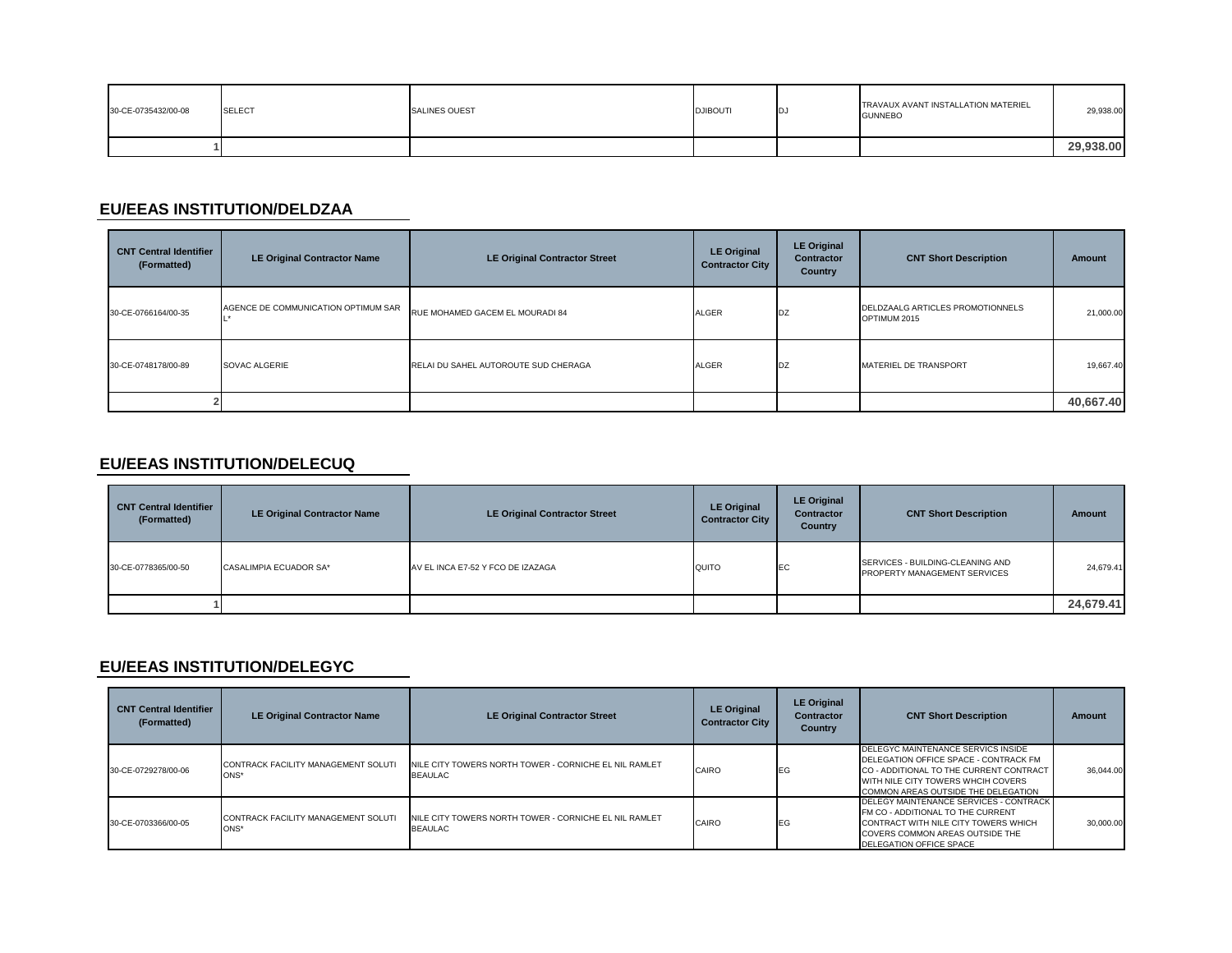| 30-CE-0735432/00-08 | <b>SELECT</b> | <b>SALINES OUEST</b> | <b>DJIBOUTI</b> | IDJ | TRAVAUX AVANT INSTALLATION MATERIEL<br><b>GUNNEBO</b> | 29,938.00 |
|---------------------|---------------|----------------------|-----------------|-----|-------------------------------------------------------|-----------|
|                     |               |                      |                 |     |                                                       | 29,938.00 |

### **EU/EEAS INSTITUTION/DELDZAA**

| <b>CNT Central Identifier</b><br>(Formatted) | <b>LE Original Contractor Name</b>  | <b>LE Original Contractor Street</b> | <b>LE Original</b><br><b>Contractor City</b> | <b>LE Original</b><br><b>Contractor</b><br>Country | <b>CNT Short Description</b>                     | <b>Amount</b> |
|----------------------------------------------|-------------------------------------|--------------------------------------|----------------------------------------------|----------------------------------------------------|--------------------------------------------------|---------------|
| 30-CE-0766164/00-35                          | AGENCE DE COMMUNICATION OPTIMUM SAR | RUE MOHAMED GACEM EL MOURADI 84      | <b>ALGER</b>                                 | <b>IDZ</b>                                         | DELDZAALG ARTICLES PROMOTIONNELS<br>OPTIMUM 2015 | 21,000.00     |
| 30-CE-0748178/00-89                          | SOVAC ALGERIE                       | RELAI DU SAHEL AUTOROUTE SUD CHERAGA | <b>ALGER</b>                                 | DZ                                                 | MATERIEL DE TRANSPORT                            | 19,667.40     |
|                                              |                                     |                                      |                                              |                                                    |                                                  | 40,667.40     |

#### **EU/EEAS INSTITUTION/DELECUQ**

| <b>CNT Central Identifier</b><br>(Formatted) | <b>LE Original Contractor Name</b> | <b>LE Original Contractor Street</b> | <b>LE Original</b><br><b>Contractor City</b> | <b>LE Original</b><br><b>Contractor</b><br><b>Country</b> | <b>CNT Short Description</b>                                     | <b>Amount</b> |
|----------------------------------------------|------------------------------------|--------------------------------------|----------------------------------------------|-----------------------------------------------------------|------------------------------------------------------------------|---------------|
| 30-CE-0778365/00-50                          | CASALIMPIA ECUADOR SA*             | AV EL INCA E7-52 Y FCO DE IZAZAGA    | QUITO                                        | <b>IEC</b>                                                | SERVICES - BUILDING-CLEANING AND<br>PROPERTY MANAGEMENT SERVICES | 24,679.41     |
|                                              |                                    |                                      |                                              |                                                           |                                                                  | 24,679.41     |

### **EU/EEAS INSTITUTION/DELEGYC**

| <b>CNT Central Identifier</b><br>(Formatted) | <b>LE Original Contractor Name</b>             | <b>LE Original Contractor Street</b>                                    | <b>LE Original</b><br><b>Contractor City</b> | <b>LE Original</b><br><b>Contractor</b><br>Country | <b>CNT Short Description</b>                                                                                                                                                                        | Amount    |
|----------------------------------------------|------------------------------------------------|-------------------------------------------------------------------------|----------------------------------------------|----------------------------------------------------|-----------------------------------------------------------------------------------------------------------------------------------------------------------------------------------------------------|-----------|
| 30-CE-0729278/00-06                          | CONTRACK FACILITY MANAGEMENT SOLUTI<br>$ONS^*$ | NILE CITY TOWERS NORTH TOWER - CORNICHE EL NIL RAMLET<br><b>BEAULAC</b> | CAIRO                                        | <b>IEG</b>                                         | DELEGYC MAINTENANCE SERVICS INSIDE<br>DELEGATION OFFICE SPACE - CONTRACK FM<br>CO - ADDITIONAL TO THE CURRENT CONTRACT<br>WITH NILE CITY TOWERS WHCIH COVERS<br>COMMON AREAS OUTSIDE THE DELEGATION | 36.044.00 |
| 30-CE-0703366/00-05                          | CONTRACK FACILITY MANAGEMENT SOLUTI<br>ONS*    | NILE CITY TOWERS NORTH TOWER - CORNICHE EL NIL RAMLET<br><b>BEAULAC</b> | CAIRO                                        | EG                                                 | <b>DELEGY MAINTENANCE SERVICES - CONTRACK</b><br>FM CO - ADDITIONAL TO THE CURRENT<br>CONTRACT WITH NILE CITY TOWERS WHICH<br>COVERS COMMON AREAS OUTSIDE THE<br>DELEGATION OFFICE SPACE            | 30,000,00 |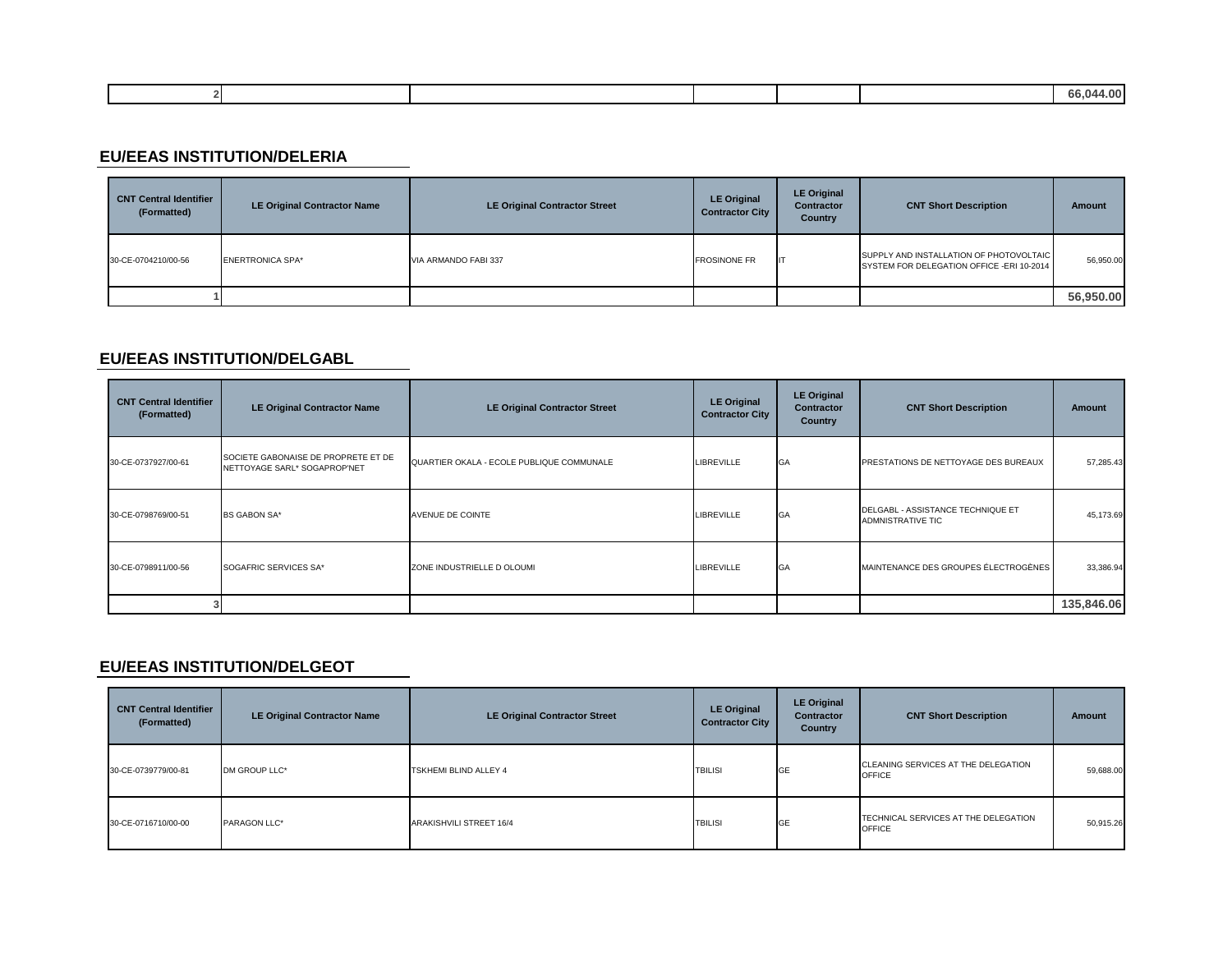|  |  |  | חר<br>----- |
|--|--|--|-------------|
|  |  |  |             |

### **EU/EEAS INSTITUTION/DELERIA**

| <b>CNT Central Identifier</b><br>(Formatted) | <b>LE Original Contractor Name</b> | <b>LE Original Contractor Street</b> | <b>LE Original</b><br><b>Contractor City</b> | <b>LE Original</b><br><b>Contractor</b><br>Country | <b>CNT Short Description</b>                                                          | <b>Amount</b> |
|----------------------------------------------|------------------------------------|--------------------------------------|----------------------------------------------|----------------------------------------------------|---------------------------------------------------------------------------------------|---------------|
| 30-CE-0704210/00-56                          | <b>ENERTRONICA SPA*</b>            | VIA ARMANDO FABI 337                 | <b>FROSINONE FR</b>                          | IT                                                 | SUPPLY AND INSTALLATION OF PHOTOVOLTAIC<br>SYSTEM FOR DELEGATION OFFICE - ERI 10-2014 | 56,950.00     |
|                                              |                                    |                                      |                                              |                                                    |                                                                                       | 56,950.00     |

### **EU/EEAS INSTITUTION/DELGABL**

| <b>CNT Central Identifier</b><br>(Formatted) | <b>LE Original Contractor Name</b>                                  | <b>LE Original Contractor Street</b>      | <b>LE Original</b><br><b>Contractor City</b> | <b>LE Original</b><br><b>Contractor</b><br>Country | <b>CNT Short Description</b>                                  | <b>Amount</b> |
|----------------------------------------------|---------------------------------------------------------------------|-------------------------------------------|----------------------------------------------|----------------------------------------------------|---------------------------------------------------------------|---------------|
| 30-CE-0737927/00-61                          | SOCIETE GABONAISE DE PROPRETE ET DE<br>NETTOYAGE SARL* SOGAPROP'NET | QUARTIER OKALA - ECOLE PUBLIQUE COMMUNALE | <b>LIBREVILLE</b>                            | GA                                                 | PRESTATIONS DE NETTOYAGE DES BUREAUX                          | 57,285.43     |
| 30-CE-0798769/00-51                          | <b>BS GABON SA*</b>                                                 | AVENUE DE COINTE                          | <b>LIBREVILLE</b>                            | GA                                                 | DELGABL - ASSISTANCE TECHNIQUE ET<br><b>ADMNISTRATIVE TIC</b> | 45,173.69     |
| 30-CE-0798911/00-56                          | SOGAFRIC SERVICES SA*                                               | ZONE INDUSTRIELLE D OLOUMI                | <b>LIBREVILLE</b>                            | GA                                                 | MAINTENANCE DES GROUPES ÉLECTROGÈNES                          | 33,386.94     |
|                                              |                                                                     |                                           |                                              |                                                    |                                                               | 135,846.06    |

### **EU/EEAS INSTITUTION/DELGEOT**

| <b>CNT Central Identifier</b><br>(Formatted) | <b>LE Original Contractor Name</b> | <b>LE Original Contractor Street</b> | <b>LE Original</b><br><b>Contractor City</b> | <b>LE Original</b><br>Contractor<br>Country | <b>CNT Short Description</b>                          | Amount    |
|----------------------------------------------|------------------------------------|--------------------------------------|----------------------------------------------|---------------------------------------------|-------------------------------------------------------|-----------|
| 30-CE-0739779/00-81                          | DM GROUP LLC*                      | <b>TSKHEMI BLIND ALLEY 4</b>         | <b>TBILISI</b>                               | <b>GE</b>                                   | CLEANING SERVICES AT THE DELEGATION<br><b>OFFICE</b>  | 59,688.00 |
| 30-CE-0716710/00-00                          | PARAGON LLC*                       | ARAKISHVILI STREET 16/4              | <b>TBILISI</b>                               | <b>GE</b>                                   | TECHNICAL SERVICES AT THE DELEGATION<br><b>OFFICE</b> | 50,915.26 |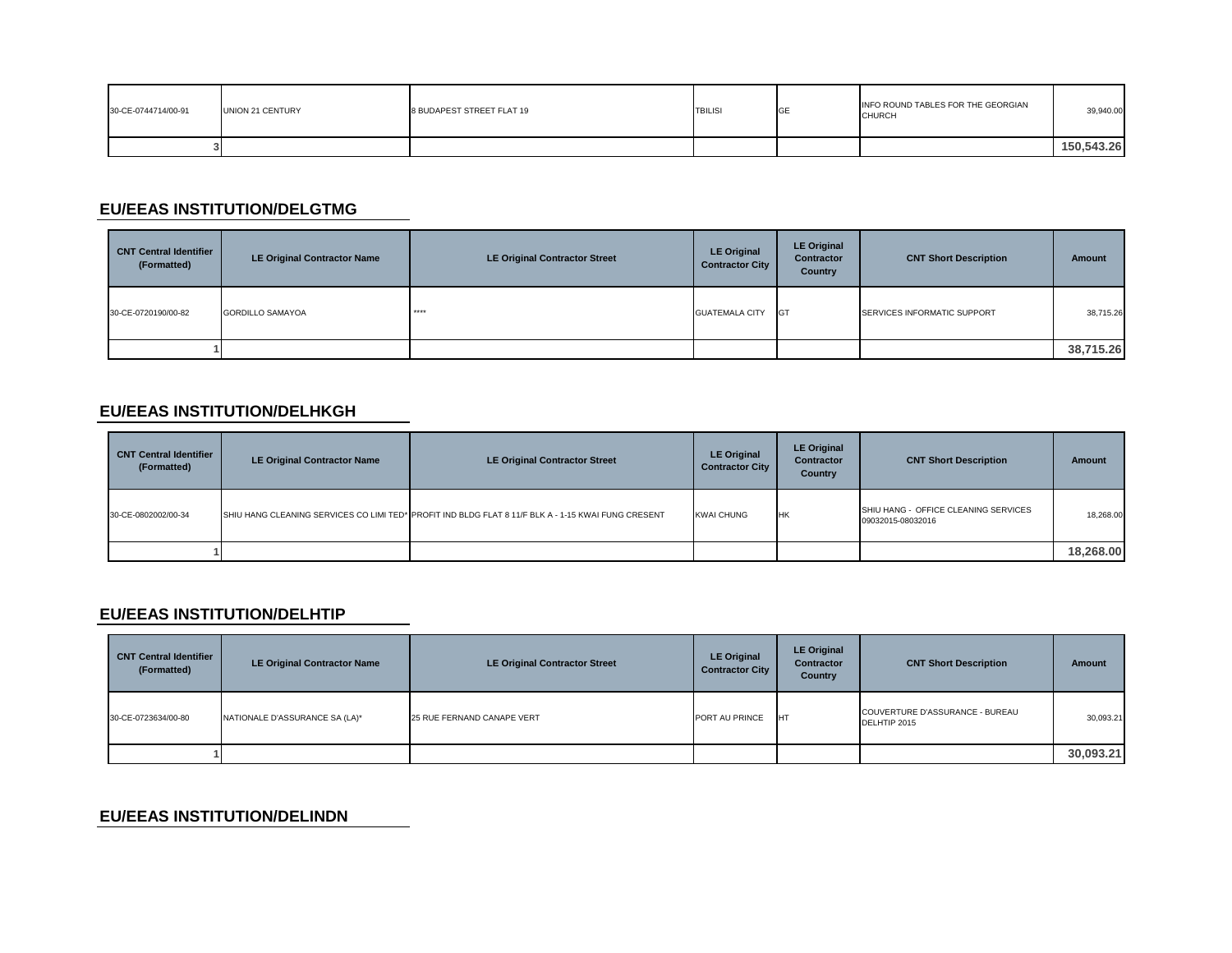| 30-CE-0744714/00-91 | UNION 21 CENTURY | 8 BUDAPEST STREET FLAT 19 | <b>TBILISI</b> | <b>IGE</b> | INFO ROUND TABLES FOR THE GEORGIAN<br><b>CHURCH</b> | 39,940.00  |
|---------------------|------------------|---------------------------|----------------|------------|-----------------------------------------------------|------------|
|                     |                  |                           |                |            |                                                     | 150.543.26 |

### **EU/EEAS INSTITUTION/DELGTMG**

| <b>CNT Central Identifier</b><br>(Formatted) | LE Original Contractor Name | <b>LE Original Contractor Street</b> | <b>LE Original</b><br><b>Contractor City</b> | <b>LE Original</b><br>Contractor<br>Country | <b>CNT Short Description</b> | Amount    |
|----------------------------------------------|-----------------------------|--------------------------------------|----------------------------------------------|---------------------------------------------|------------------------------|-----------|
| 30-CE-0720190/00-82                          | <b>GORDILLO SAMAYOA</b>     | ****                                 | <b>GUATEMALA CITY</b>                        | <b>GT</b>                                   | SERVICES INFORMATIC SUPPORT  | 38,715.26 |
|                                              |                             |                                      |                                              |                                             |                              | 38,715.26 |

### **EU/EEAS INSTITUTION/DELHKGH**

| <b>CNT Central Identifier</b><br>(Formatted) | LE Original Contractor Name | <b>LE Original Contractor Street</b>                                                                | <b>LE Original</b><br><b>Contractor City</b> | <b>LE Original</b><br><b>Contractor</b><br><b>Country</b> | <b>CNT Short Description</b>                              | Amount    |
|----------------------------------------------|-----------------------------|-----------------------------------------------------------------------------------------------------|----------------------------------------------|-----------------------------------------------------------|-----------------------------------------------------------|-----------|
| 30-CE-0802002/00-34                          |                             | SHIU HANG CLEANING SERVICES CO LIMI TED* PROFIT IND BLDG FLAT 8 11/F BLK A - 1-15 KWAI FUNG CRESENT | <b>KWAI CHUNG</b>                            | НK                                                        | SHIU HANG - OFFICE CLEANING SERVICES<br>09032015-08032016 | 18,268.00 |
|                                              |                             |                                                                                                     |                                              |                                                           |                                                           | 18,268.00 |

### **EU/EEAS INSTITUTION/DELHTIP**

| <b>CNT Central Identifier</b><br>(Formatted) | <b>LE Original Contractor Name</b> | <b>LE Original Contractor Street</b> | <b>LE Original</b><br><b>Contractor City</b> | <b>LE Original</b><br><b>Contractor</b><br><b>Country</b> | <b>CNT Short Description</b>                    | <b>Amount</b> |
|----------------------------------------------|------------------------------------|--------------------------------------|----------------------------------------------|-----------------------------------------------------------|-------------------------------------------------|---------------|
| 30-CE-0723634/00-80                          | NATIONALE D'ASSURANCE SA (LA)*     | 25 RUE FERNAND CANAPE VERT           | PORT AU PRINCE                               | <b>IHT</b>                                                | COUVERTURE D'ASSURANCE - BUREAU<br>DELHTIP 2015 | 30,093.21     |
|                                              |                                    |                                      |                                              |                                                           |                                                 | 30,093.21     |

### **EU/EEAS INSTITUTION/DELINDN**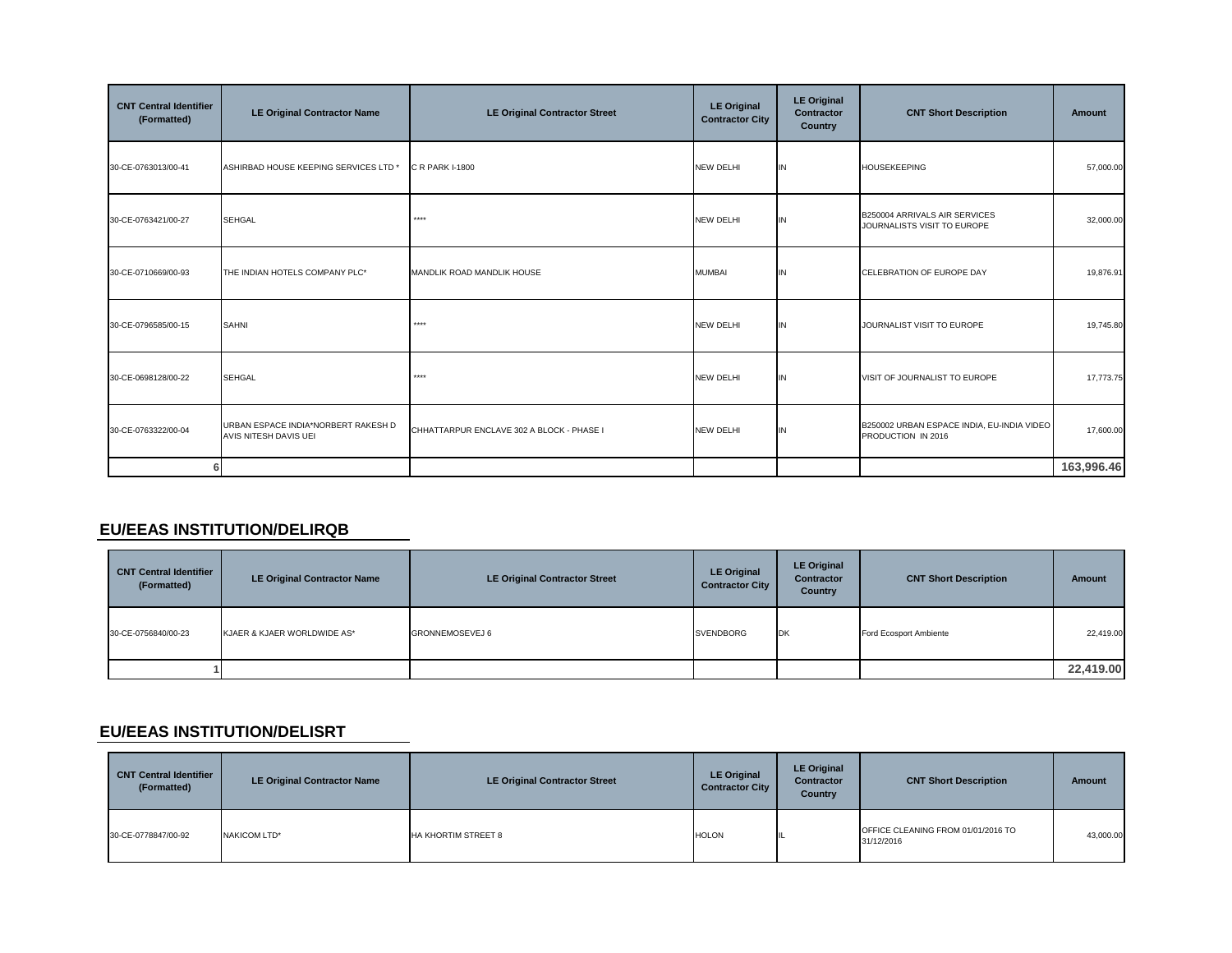| <b>CNT Central Identifier</b><br>(Formatted) | <b>LE Original Contractor Name</b>                           | <b>LE Original Contractor Street</b>      | <b>LE Original</b><br><b>Contractor City</b> | <b>LE Original</b><br>Contractor<br><b>Country</b> | <b>CNT Short Description</b>                                     | Amount     |
|----------------------------------------------|--------------------------------------------------------------|-------------------------------------------|----------------------------------------------|----------------------------------------------------|------------------------------------------------------------------|------------|
| 30-CE-0763013/00-41                          | ASHIRBAD HOUSE KEEPING SERVICES LTD *                        | C R PARK I-1800                           | <b>NEW DELHI</b>                             | IN                                                 | <b>HOUSEKEEPING</b>                                              | 57,000.00  |
| 30-CE-0763421/00-27                          | <b>SEHGAL</b>                                                | ****                                      | <b>NEW DELHI</b>                             | IN                                                 | B250004 ARRIVALS AIR SERVICES<br>JOURNALISTS VISIT TO EUROPE     | 32,000.00  |
| 30-CE-0710669/00-93                          | THE INDIAN HOTELS COMPANY PLC*                               | MANDLIK ROAD MANDLIK HOUSE                | <b>MUMBAI</b>                                | IN                                                 | CELEBRATION OF EUROPE DAY                                        | 19,876.91  |
| 30-CE-0796585/00-15                          | <b>SAHNI</b>                                                 | ****                                      | <b>NEW DELHI</b>                             | IN                                                 | JOURNALIST VISIT TO EUROPE                                       | 19,745.80  |
| 30-CE-0698128/00-22                          | <b>SEHGAL</b>                                                | $****$                                    | <b>NEW DELHI</b>                             | IN                                                 | VISIT OF JOURNALIST TO EUROPE                                    | 17,773.75  |
| 30-CE-0763322/00-04                          | URBAN ESPACE INDIA*NORBERT RAKESH D<br>AVIS NITESH DAVIS UEI | CHHATTARPUR ENCLAVE 302 A BLOCK - PHASE I | <b>NEW DELHI</b>                             | IN                                                 | B250002 URBAN ESPACE INDIA, EU-INDIA VIDEO<br>PRODUCTION IN 2016 | 17,600.00  |
|                                              |                                                              |                                           |                                              |                                                    |                                                                  | 163,996.46 |

#### **EU/EEAS INSTITUTION/DELIRQB**

| <b>CNT Central Identifier</b><br>(Formatted) | <b>LE Original Contractor Name</b> | <b>LE Original Contractor Street</b> | <b>LE Original</b><br><b>Contractor City</b> | <b>LE Original</b><br><b>Contractor</b><br><b>Country</b> | <b>CNT Short Description</b> | <b>Amount</b> |
|----------------------------------------------|------------------------------------|--------------------------------------|----------------------------------------------|-----------------------------------------------------------|------------------------------|---------------|
| 30-CE-0756840/00-23                          | KJAER & KJAER WORLDWIDE AS*        | GRONNEMOSEVEJ 6                      | <b>SVENDBORG</b>                             | <b>IDK</b>                                                | Ford Ecosport Ambiente       | 22,419.00     |
|                                              |                                    |                                      |                                              |                                                           |                              | 22,419.00     |

### **EU/EEAS INSTITUTION/DELISRT**

| <b>CNT Central Identifier</b><br>(Formatted) | <b>LE Original Contractor Name</b> | <b>LE Original Contractor Street</b> | <b>LE Original</b><br><b>Contractor City</b> | <b>LE Original</b><br><b>Contractor</b><br><b>Country</b> | <b>CNT Short Description</b>                     | <b>Amount</b> |
|----------------------------------------------|------------------------------------|--------------------------------------|----------------------------------------------|-----------------------------------------------------------|--------------------------------------------------|---------------|
| 30-CE-0778847/00-92                          | NAKICOM LTD*                       | <b>HA KHORTIM STREET 8</b>           | <b>HOLON</b>                                 |                                                           | OFFICE CLEANING FROM 01/01/2016 TO<br>31/12/2016 | 43,000.00     |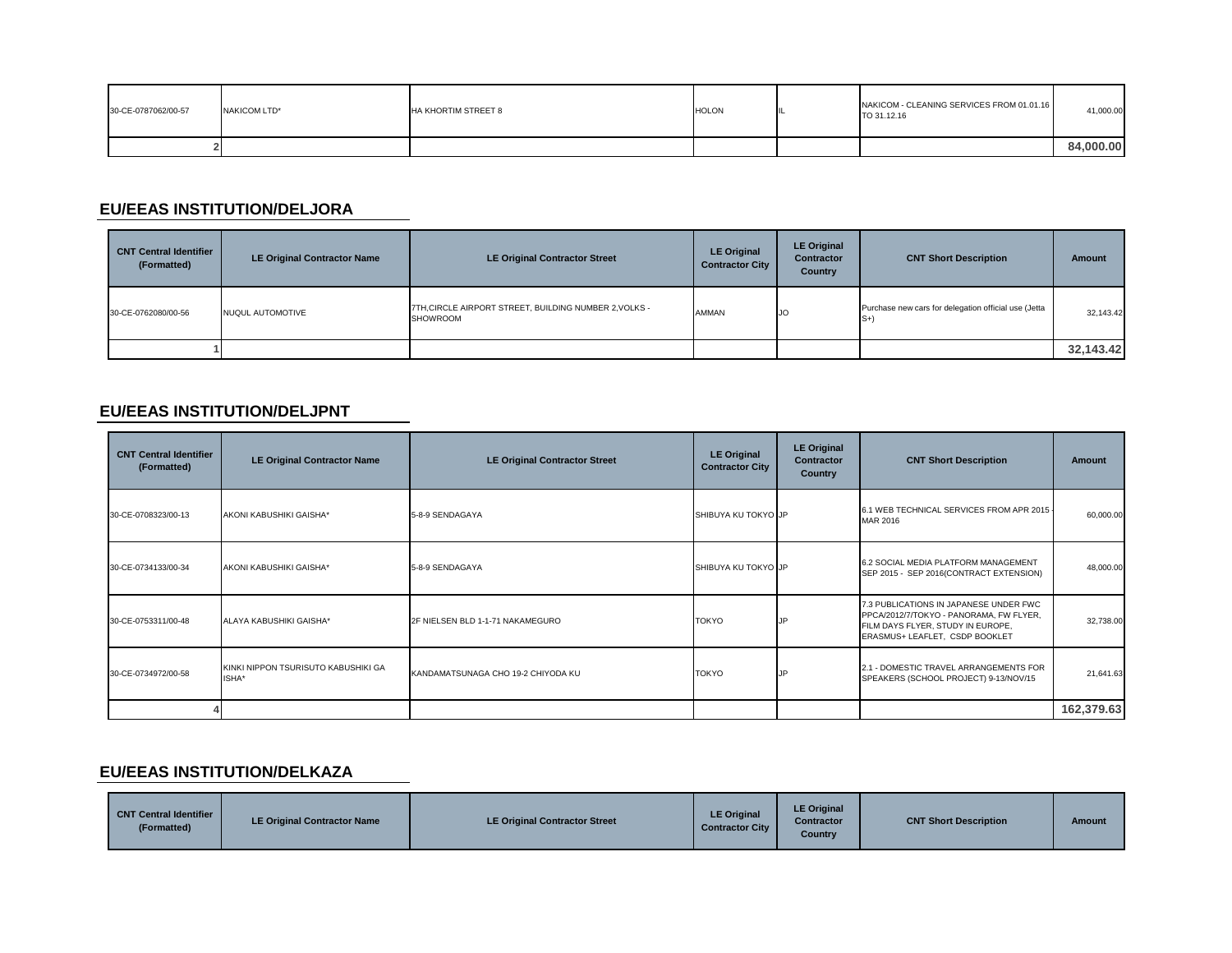| 30-CE-0787062/00-57 | NAKICOM LTD* | HA KHORTIM STREET 8 | <b>HOLON</b> | NAKICOM - CLEANING SERVICES FROM 01.01.16<br>TO 31.12.16 | 41,000.00 |
|---------------------|--------------|---------------------|--------------|----------------------------------------------------------|-----------|
|                     |              |                     |              |                                                          | 84.000.00 |

# **EU/EEAS INSTITUTION/DELJORA**

| <b>CNT Central Identifier</b><br>(Formatted) | <b>LE Original Contractor Name</b> | <b>LE Original Contractor Street</b>                                      | <b>LE Original</b><br><b>Contractor City</b> | <b>LE Original</b><br><b>Contractor</b><br>Country | <b>CNT Short Description</b>                                 | <b>Amount</b> |
|----------------------------------------------|------------------------------------|---------------------------------------------------------------------------|----------------------------------------------|----------------------------------------------------|--------------------------------------------------------------|---------------|
| 30-CE-0762080/00-56                          | NUQUL AUTOMOTIVE                   | 7TH, CIRCLE AIRPORT STREET, BUILDING NUMBER 2, VOLKS -<br><b>SHOWROOM</b> | AMMAN                                        | <b>IJO</b>                                         | Purchase new cars for delegation official use (Jetta<br>$S+$ | 32,143.42     |
|                                              |                                    |                                                                           |                                              |                                                    |                                                              | 32,143.42     |

#### **EU/EEAS INSTITUTION/DELJPNT**

| <b>CNT Central Identifier</b><br>(Formatted) | <b>LE Original Contractor Name</b>           | <b>LE Original Contractor Street</b> | <b>LE Original</b><br><b>Contractor City</b> | <b>LE Original</b><br><b>Contractor</b><br>Country | <b>CNT Short Description</b>                                                                                                                             | <b>Amount</b> |
|----------------------------------------------|----------------------------------------------|--------------------------------------|----------------------------------------------|----------------------------------------------------|----------------------------------------------------------------------------------------------------------------------------------------------------------|---------------|
| 30-CE-0708323/00-13                          | AKONI KABUSHIKI GAISHA*                      | 5-8-9 SENDAGAYA                      | SHIBUYA KU TOKYO JP                          |                                                    | 6.1 WEB TECHNICAL SERVICES FROM APR 2015 -<br><b>MAR 2016</b>                                                                                            | 60,000.00     |
| 30-CE-0734133/00-34                          | AKONI KABUSHIKI GAISHA*                      | 5-8-9 SENDAGAYA                      | SHIBUYA KU TOKYO JP                          |                                                    | 6.2 SOCIAL MEDIA PLATFORM MANAGEMENT<br>SEP 2015 - SEP 2016(CONTRACT EXTENSION)                                                                          | 48,000.00     |
| 30-CE-0753311/00-48                          | ALAYA KABUSHIKI GAISHA*                      | 2F NIELSEN BLD 1-1-71 NAKAMEGURO     | <b>TOKYO</b>                                 | JP.                                                | 7.3 PUBLICATIONS IN JAPANESE UNDER FWC<br>PPCA/2012/7/TOKYO - PANORAMA, FW FLYER,<br>FILM DAYS FLYER, STUDY IN EUROPE,<br>ERASMUS+ LEAFLET, CSDP BOOKLET | 32,738.00     |
| 30-CE-0734972/00-58                          | KINKI NIPPON TSURISUTO KABUSHIKI GA<br>ISHA* | KANDAMATSUNAGA CHO 19-2 CHIYODA KU   | <b>TOKYO</b>                                 | ΙP                                                 | 2.1 - DOMESTIC TRAVEL ARRANGEMENTS FOR<br>SPEAKERS (SCHOOL PROJECT) 9-13/NOV/15                                                                          | 21,641.63     |
|                                              |                                              |                                      |                                              |                                                    |                                                                                                                                                          | 162,379.63    |

#### **EU/EEAS INSTITUTION/DELKAZA**

| <b>CNT Central Identifier</b><br>'Formatted) | LE Original Contractor Name | <b>LE Original Contractor Street</b> | <b>LE Original</b><br><b>Contractor City</b> | <b>LE Original</b><br><b>Contractor</b><br>Country | <b>CNT Short Description</b> | Amount |
|----------------------------------------------|-----------------------------|--------------------------------------|----------------------------------------------|----------------------------------------------------|------------------------------|--------|
|----------------------------------------------|-----------------------------|--------------------------------------|----------------------------------------------|----------------------------------------------------|------------------------------|--------|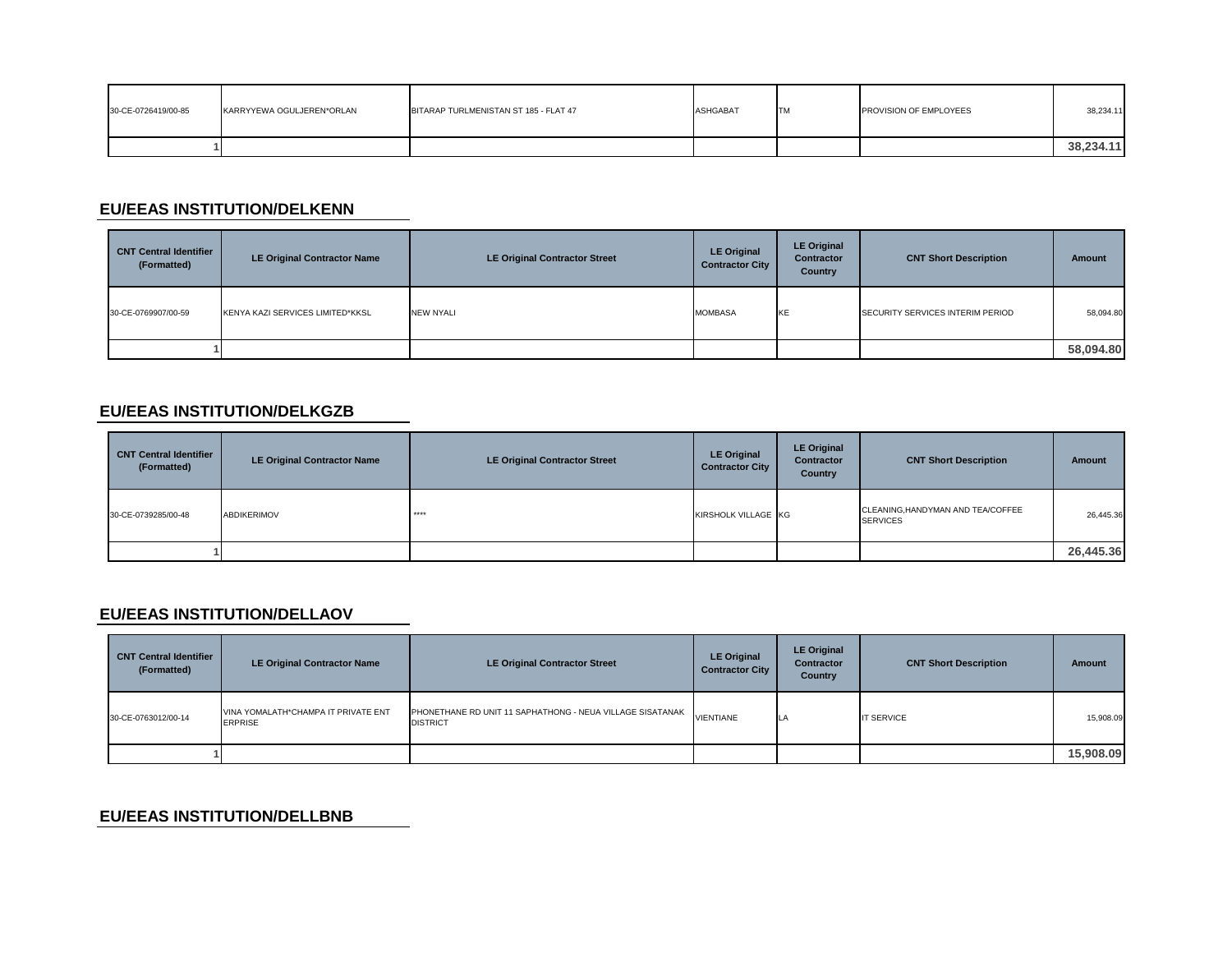| 30-CE-0726419/00-85 | KARRYYEWA OGULJEREN*ORLAN | BITARAP TURLMENISTAN ST 185 - FLAT 47 | ASHGABAT | <b>TM</b> | PROVISION OF EMPLOYEES | 38.234.11 |
|---------------------|---------------------------|---------------------------------------|----------|-----------|------------------------|-----------|
|                     |                           |                                       |          |           |                        | 38,234.11 |

### **EU/EEAS INSTITUTION/DELKENN**

| <b>CNT Central Identifier</b><br>(Formatted) | <b>LE Original Contractor Name</b> | <b>LE Original Contractor Street</b> | <b>LE Original</b><br><b>Contractor City</b> | <b>LE Original</b><br><b>Contractor</b><br>Country | <b>CNT Short Description</b>     | Amount    |
|----------------------------------------------|------------------------------------|--------------------------------------|----------------------------------------------|----------------------------------------------------|----------------------------------|-----------|
| 30-CE-0769907/00-59                          | KENYA KAZI SERVICES LIMITED*KKSL   | <b>NEW NYALI</b>                     | <b>MOMBASA</b>                               | KE                                                 | SECURITY SERVICES INTERIM PERIOD | 58,094.80 |
|                                              |                                    |                                      |                                              |                                                    |                                  | 58,094.80 |

#### **EU/EEAS INSTITUTION/DELKGZB**

| <b>CNT Central Identifier</b><br>(Formatted) | <b>LE Original Contractor Name</b> | <b>LE Original Contractor Street</b> | <b>LE Original</b><br><b>Contractor City</b> | <b>LE Original</b><br>Contractor<br>Country | <b>CNT Short Description</b>                         | Amount    |
|----------------------------------------------|------------------------------------|--------------------------------------|----------------------------------------------|---------------------------------------------|------------------------------------------------------|-----------|
| 30-CE-0739285/00-48                          | <b>ABDIKERIMOV</b>                 | $****$                               | KIRSHOLK VILLAGE KG                          |                                             | CLEANING, HANDYMAN AND TEA/COFFEE<br><b>SERVICES</b> | 26,445.36 |
|                                              |                                    |                                      |                                              |                                             |                                                      | 26,445.36 |

#### **EU/EEAS INSTITUTION/DELLAOV**

| <b>CNT Central Identifier</b><br>(Formatted) | <b>LE Original Contractor Name</b>                    | <b>LE Original Contractor Street</b>                                                   | <b>LE Original</b><br><b>Contractor City</b> | <b>LE Original</b><br><b>Contractor</b><br><b>Country</b> | <b>CNT Short Description</b> | Amount    |
|----------------------------------------------|-------------------------------------------------------|----------------------------------------------------------------------------------------|----------------------------------------------|-----------------------------------------------------------|------------------------------|-----------|
| 30-CE-0763012/00-14                          | VINA YOMALATH*CHAMPA IT PRIVATE ENT<br><b>ERPRISE</b> | PHONETHANE RD UNIT 11 SAPHATHONG - NEUA VILLAGE SISATANAK VIENTIANE<br><b>DISTRICT</b> |                                              | ILA                                                       | <b>IT SERVICE</b>            | 15,908.09 |
|                                              |                                                       |                                                                                        |                                              |                                                           |                              | 15,908.09 |

### **EU/EEAS INSTITUTION/DELLBNB**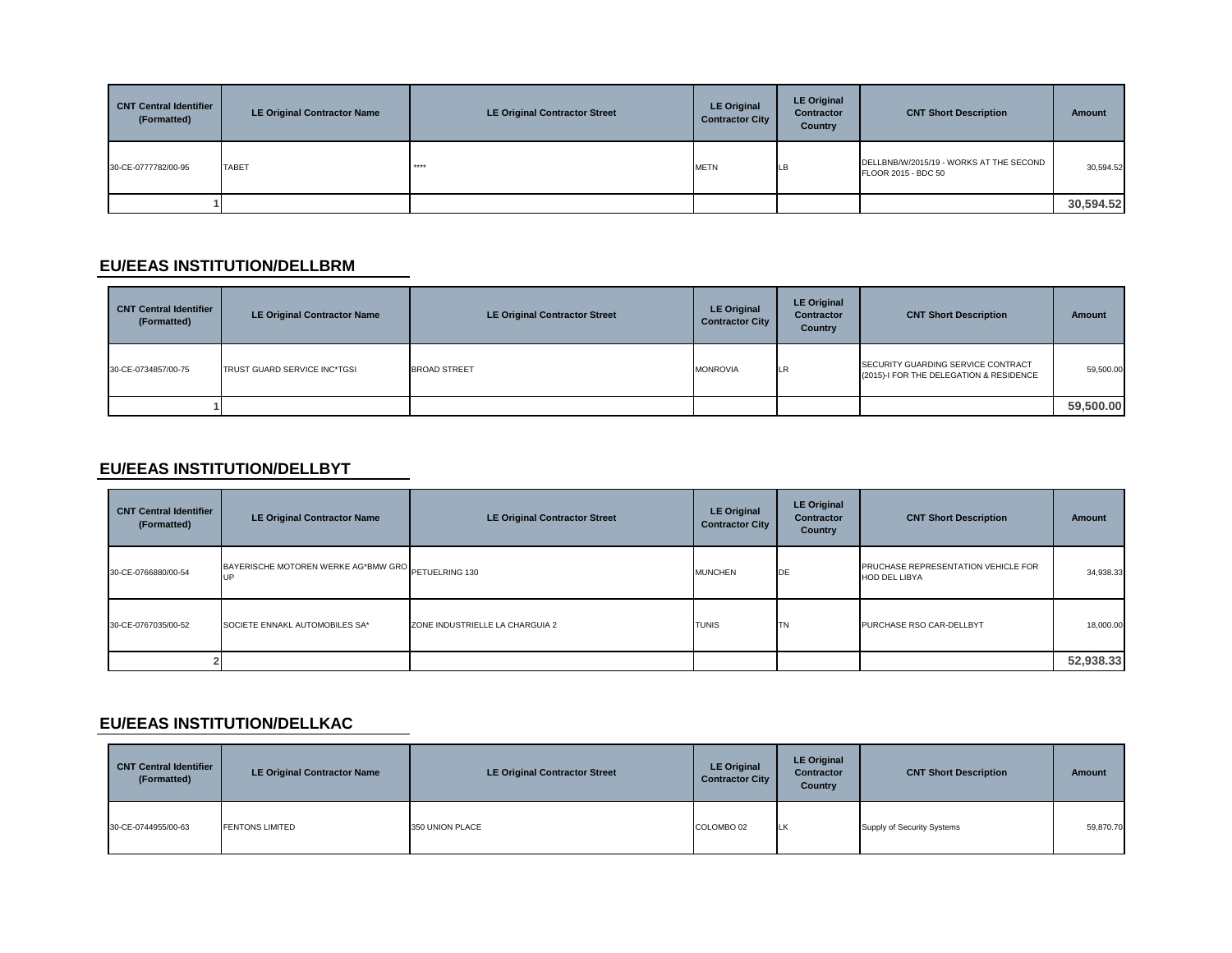| <b>CNT Central Identifier</b><br>(Formatted) | <b>LE Original Contractor Name</b> | <b>LE Original Contractor Street</b> | <b>LE Original</b><br><b>Contractor City</b> | <b>LE Original</b><br><b>Contractor</b><br><b>Country</b> | <b>CNT Short Description</b>                                   | Amount    |
|----------------------------------------------|------------------------------------|--------------------------------------|----------------------------------------------|-----------------------------------------------------------|----------------------------------------------------------------|-----------|
| 30-CE-0777782/00-95                          | <b>TABET</b>                       | ****                                 | <b>METN</b>                                  | <b>ILB</b>                                                | DELLBNB/W/2015/19 - WORKS AT THE SECOND<br>FLOOR 2015 - BDC 50 | 30,594.52 |
|                                              |                                    |                                      |                                              |                                                           |                                                                | 30,594.52 |

#### **EU/EEAS INSTITUTION/DELLBRM**

| <b>CNT Central Identifier</b><br>(Formatted) | <b>LE Original Contractor Name</b> | <b>LE Original Contractor Street</b> | <b>LE Original</b><br><b>Contractor City</b> | <b>LE Original</b><br><b>Contractor</b><br>Country | <b>CNT Short Description</b>                                                  | Amount    |
|----------------------------------------------|------------------------------------|--------------------------------------|----------------------------------------------|----------------------------------------------------|-------------------------------------------------------------------------------|-----------|
| 30-CE-0734857/00-75                          | TRUST GUARD SERVICE INC*TGSI       | <b>BROAD STREET</b>                  | <b>MONROVIA</b>                              | .LR                                                | SECURITY GUARDING SERVICE CONTRACT<br>(2015)-I FOR THE DELEGATION & RESIDENCE | 59,500.00 |
|                                              |                                    |                                      |                                              |                                                    |                                                                               | 59,500.00 |

# **EU/EEAS INSTITUTION/DELLBYT**

| <b>CNT Central Identifier</b><br>(Formatted) | <b>LE Original Contractor Name</b>                        | <b>LE Original Contractor Street</b> | <b>LE Original</b><br><b>Contractor City</b> | <b>LE Original</b><br><b>Contractor</b><br><b>Country</b> | <b>CNT Short Description</b>                                | Amount    |
|----------------------------------------------|-----------------------------------------------------------|--------------------------------------|----------------------------------------------|-----------------------------------------------------------|-------------------------------------------------------------|-----------|
| 30-CE-0766880/00-54                          | BAYERISCHE MOTOREN WERKE AG*BMW GRO PETUELRING 130<br>.UP |                                      | <b>MUNCHEN</b>                               | DE                                                        | PRUCHASE REPRESENTATION VEHICLE FOR<br><b>HOD DEL LIBYA</b> | 34,938.33 |
| 30-CE-0767035/00-52                          | SOCIETE ENNAKL AUTOMOBILES SA*                            | ZONE INDUSTRIELLE LA CHARGUIA 2      | <b>TUNIS</b>                                 | <b>TN</b>                                                 | PURCHASE RSO CAR-DELLBYT                                    | 18,000.00 |
|                                              |                                                           |                                      |                                              |                                                           |                                                             | 52,938.33 |

### **EU/EEAS INSTITUTION/DELLKAC**

| <b>CNT Central Identifier</b><br>(Formatted) | <b>LE Original Contractor Name</b> | LE Original Contractor Street | <b>LE Original</b><br><b>Contractor City</b> | <b>LE Original</b><br><b>Contractor</b><br>Country | <b>CNT Short Description</b> | <b>Amount</b> |
|----------------------------------------------|------------------------------------|-------------------------------|----------------------------------------------|----------------------------------------------------|------------------------------|---------------|
| 30-CE-0744955/00-63                          | <b>FENTONS LIMITED</b>             | 350 UNION PLACE               | COLOMBO 02                                   | LK                                                 | Supply of Security Systems   | 59,870.70     |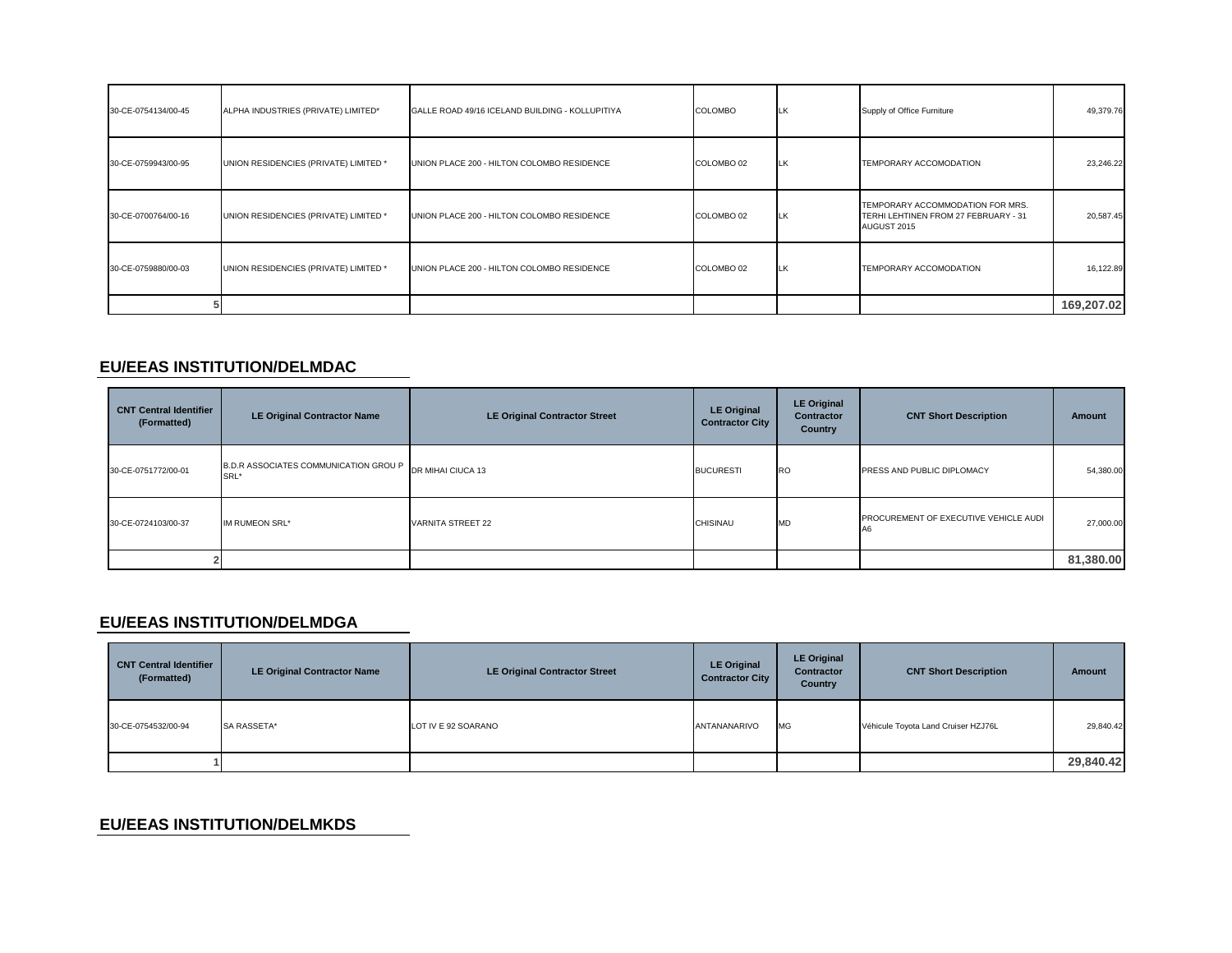| 30-CE-0754134/00-45 | ALPHA INDUSTRIES (PRIVATE) LIMITED*   | GALLE ROAD 49/16 ICELAND BUILDING - KOLLUPITIYA | <b>COLOMBO</b> | LK | Supply of Office Furniture                                                              | 49,379.76  |
|---------------------|---------------------------------------|-------------------------------------------------|----------------|----|-----------------------------------------------------------------------------------------|------------|
| 30-CE-0759943/00-95 | UNION RESIDENCIES (PRIVATE) LIMITED * | UNION PLACE 200 - HILTON COLOMBO RESIDENCE      | COLOMBO 02     | LK | TEMPORARY ACCOMODATION                                                                  | 23,246.22  |
| 30-CE-0700764/00-16 | UNION RESIDENCIES (PRIVATE) LIMITED * | UNION PLACE 200 - HILTON COLOMBO RESIDENCE      | COLOMBO 02     | LK | TEMPORARY ACCOMMODATION FOR MRS.<br>TERHI LEHTINEN FROM 27 FEBRUARY - 31<br>AUGUST 2015 | 20,587.45  |
| 30-CE-0759880/00-03 | UNION RESIDENCIES (PRIVATE) LIMITED * | UNION PLACE 200 - HILTON COLOMBO RESIDENCE      | COLOMBO 02     | LK | TEMPORARY ACCOMODATION                                                                  | 16,122.89  |
|                     |                                       |                                                 |                |    |                                                                                         | 169,207.02 |

# **EU/EEAS INSTITUTION/DELMDAC**

| <b>CNT Central Identifier</b><br>(Formatted) | <b>LE Original Contractor Name</b>           | <b>LE Original Contractor Street</b> | <b>LE Original</b><br><b>Contractor City</b> | <b>LE Original</b><br><b>Contractor</b><br><b>Country</b> | <b>CNT Short Description</b>          | Amount    |
|----------------------------------------------|----------------------------------------------|--------------------------------------|----------------------------------------------|-----------------------------------------------------------|---------------------------------------|-----------|
| 30-CE-0751772/00-01                          | B.D.R ASSOCIATES COMMUNICATION GROUP<br>SRL* | DR MIHAI CIUCA 13                    | <b>BUCURESTI</b>                             | <b>RO</b>                                                 | <b>PRESS AND PUBLIC DIPLOMACY</b>     | 54,380.00 |
| 30-CE-0724103/00-37                          | IM RUMEON SRL*                               | <b>VARNITA STREET 22</b>             | CHISINAU                                     | <b>MD</b>                                                 | PROCUREMENT OF EXECUTIVE VEHICLE AUDI | 27,000.00 |
|                                              |                                              |                                      |                                              |                                                           |                                       | 81,380.00 |

### **EU/EEAS INSTITUTION/DELMDGA**

| <b>CNT Central Identifier</b><br>(Formatted) | <b>LE Original Contractor Name</b> | LE Original Contractor Street | <b>LE Original</b><br><b>Contractor City</b> | <b>LE Original</b><br><b>Contractor</b><br>Country | <b>CNT Short Description</b>        | Amount    |
|----------------------------------------------|------------------------------------|-------------------------------|----------------------------------------------|----------------------------------------------------|-------------------------------------|-----------|
| 30-CE-0754532/00-94                          | SA RASSETA*                        | LOT IV E 92 SOARANO           | ANTANANARIVO                                 | <b>MG</b>                                          | Véhicule Toyota Land Cruiser HZJ76L | 29,840.42 |
|                                              |                                    |                               |                                              |                                                    |                                     | 29,840.42 |

### **EU/EEAS INSTITUTION/DELMKDS**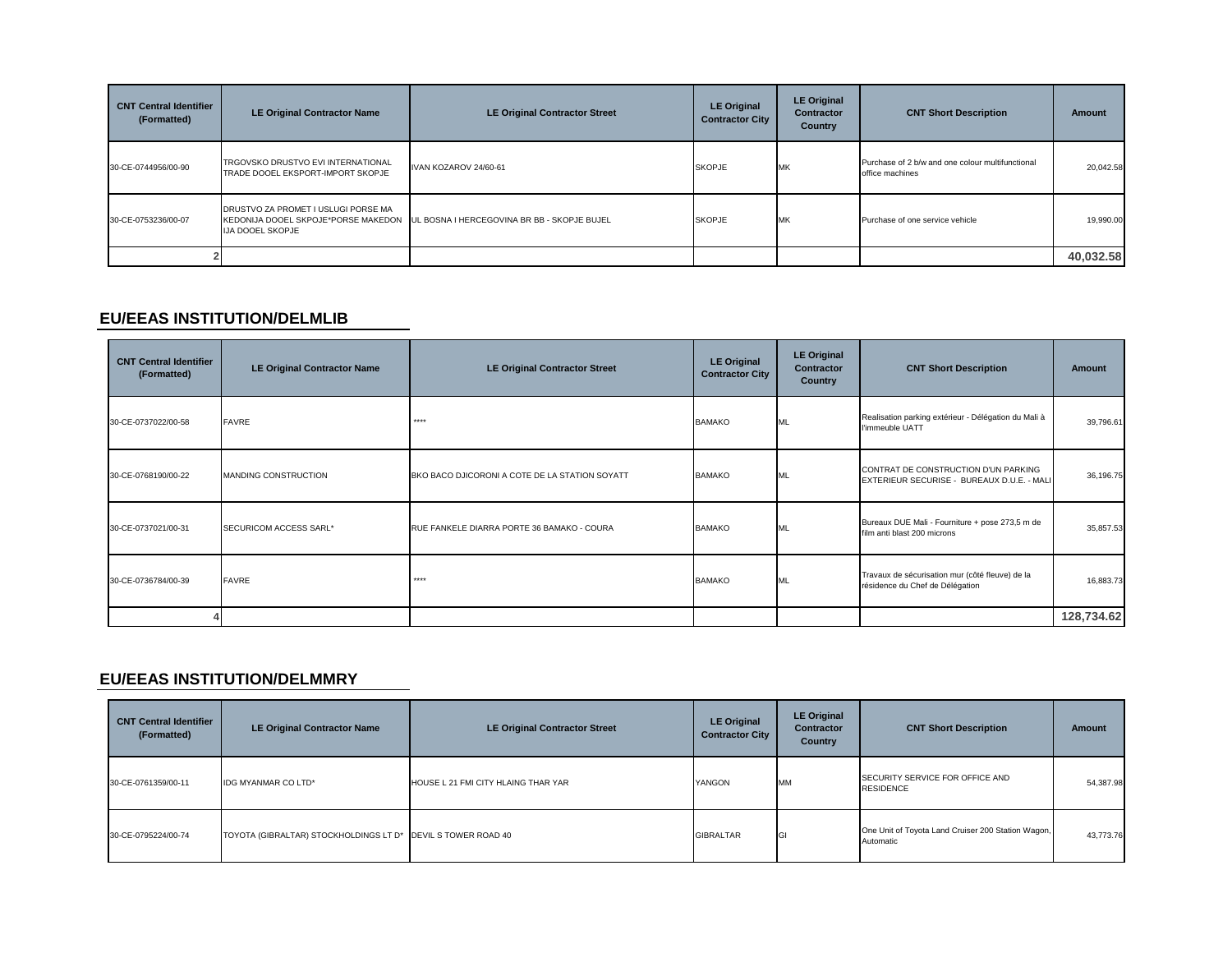| <b>CNT Central Identifier</b><br>(Formatted) | <b>LE Original Contractor Name</b>                                      | <b>LE Original Contractor Street</b>                                            | <b>LE Original</b><br><b>Contractor City</b> | <b>LE Original</b><br><b>Contractor</b><br>Country | <b>CNT Short Description</b>                                        | Amount    |
|----------------------------------------------|-------------------------------------------------------------------------|---------------------------------------------------------------------------------|----------------------------------------------|----------------------------------------------------|---------------------------------------------------------------------|-----------|
| 30-CE-0744956/00-90                          | TRGOVSKO DRUSTVO EVI INTERNATIONAL<br>TRADE DOOEL EKSPORT-IMPORT SKOPJE | IVAN KOZAROV 24/60-61                                                           | <b>SKOPJE</b>                                | <b>MK</b>                                          | Purchase of 2 b/w and one colour multifunctional<br>office machines | 20,042.58 |
| 30-CE-0753236/00-07                          | DRUSTVO ZA PROMET I USLUGI PORSE MA<br><b>IJA DOOEL SKOPJE</b>          | KEDONIJA DOOEL SKPOJE*PORSE MAKEDON UL BOSNA I HERCEGOVINA BR BB - SKOPJE BUJEL | <b>SKOPJE</b>                                | <b>IMK</b>                                         | Purchase of one service vehicle                                     | 19,990.00 |
|                                              |                                                                         |                                                                                 |                                              |                                                    |                                                                     | 40,032.58 |

#### **EU/EEAS INSTITUTION/DELMLIB**

| <b>CNT Central Identifier</b><br>(Formatted) | <b>LE Original Contractor Name</b> | <b>LE Original Contractor Street</b>           | <b>LE Original</b><br><b>Contractor City</b> | <b>LE Original</b><br><b>Contractor</b><br>Country | <b>CNT Short Description</b>                                                       | <b>Amount</b> |
|----------------------------------------------|------------------------------------|------------------------------------------------|----------------------------------------------|----------------------------------------------------|------------------------------------------------------------------------------------|---------------|
| 30-CE-0737022/00-58                          | <b>FAVRE</b>                       | $****$                                         | <b>BAMAKO</b>                                | ML                                                 | Realisation parking extérieur - Délégation du Mali à<br>l'immeuble UATT            | 39,796.61     |
| 30-CE-0768190/00-22                          | MANDING CONSTRUCTION               | BKO BACO DJICORONI A COTE DE LA STATION SOYATT | <b>BAMAKO</b>                                | ML                                                 | CONTRAT DE CONSTRUCTION D'UN PARKING<br>EXTERIEUR SECURISE - BUREAUX D.U.E. - MALI | 36,196.75     |
| 30-CE-0737021/00-31                          | SECURICOM ACCESS SARL*             | RUE FANKELE DIARRA PORTE 36 BAMAKO - COURA     | <b>BAMAKO</b>                                | МL                                                 | Bureaux DUE Mali - Fourniture + pose 273,5 m de<br>film anti blast 200 microns     | 35,857.53     |
| 30-CE-0736784/00-39                          | <b>FAVRE</b>                       | ****                                           | <b>BAMAKO</b>                                | ML                                                 | Travaux de sécurisation mur (côté fleuve) de la<br>résidence du Chef de Délégation | 16,883.73     |
|                                              |                                    |                                                |                                              |                                                    |                                                                                    | 128,734.62    |

### **EU/EEAS INSTITUTION/DELMMRY**

| <b>CNT Central Identifier</b><br>(Formatted) | <b>LE Original Contractor Name</b>     | <b>LE Original Contractor Street</b> | <b>LE Original</b><br><b>Contractor City</b> | <b>LE Original</b><br><b>Contractor</b><br>Country | <b>CNT Short Description</b>                                    | <b>Amount</b> |
|----------------------------------------------|----------------------------------------|--------------------------------------|----------------------------------------------|----------------------------------------------------|-----------------------------------------------------------------|---------------|
| 30-CE-0761359/00-11                          | <b>IDG MYANMAR CO LTD*</b>             | HOUSE L 21 FMI CITY HLAING THAR YAR  | YANGON                                       | <b>MM</b>                                          | SECURITY SERVICE FOR OFFICE AND<br><b>RESIDENCE</b>             | 54,387.98     |
| 30-CE-0795224/00-74                          | TOYOTA (GIBRALTAR) STOCKHOLDINGS LT D* | DEVIL S TOWER ROAD 40                | <b>GIBRALTAR</b>                             | GI                                                 | One Unit of Toyota Land Cruiser 200 Station Wagon,<br>Automatic | 43,773.76     |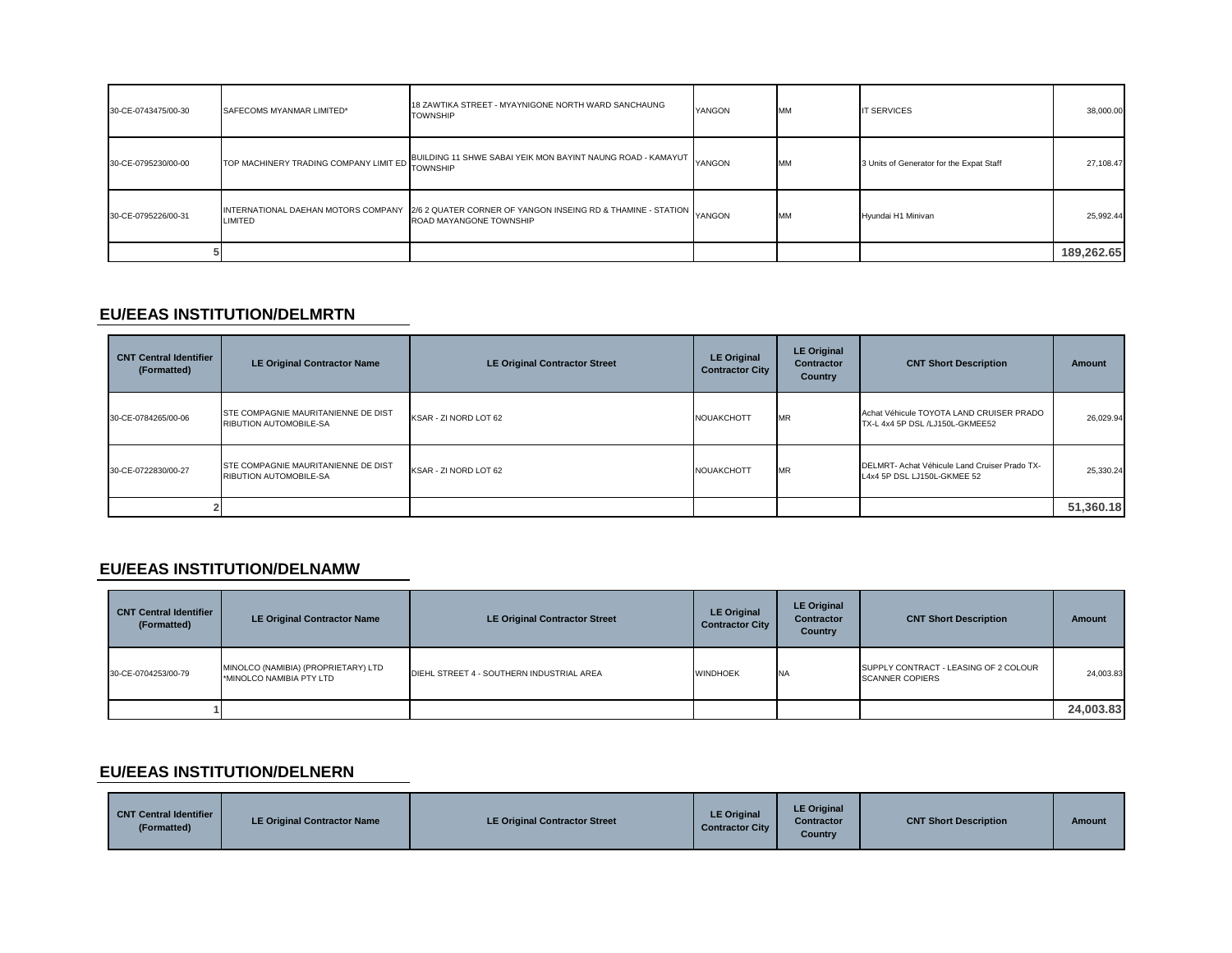| 30-CE-0743475/00-30 | SAFECOMS MYANMAR LIMITED*                       | 18 ZAWTIKA STREET - MYAYNIGONE NORTH WARD SANCHAUNG<br><b>TOWNSHIP</b>                                                             | YANGON | <b>MM</b> | <b>IT SERVICES</b>                       | 38,000.00  |
|---------------------|-------------------------------------------------|------------------------------------------------------------------------------------------------------------------------------------|--------|-----------|------------------------------------------|------------|
| 30-CE-0795230/00-00 | TOP MACHINERY TRADING COMPANY LIMIT ED TOWNSHIP | BUILDING 11 SHWE SABAI YEIK MON BAYINT NAUNG ROAD - KAMAYUT YANGON                                                                 |        | <b>MM</b> | 3 Units of Generator for the Expat Staff | 27,108.47  |
| 30-CE-0795226/00-31 | LIMITED                                         | INTERNATIONAL DAEHAN MOTORS COMPANY 2/6 2 QUATER CORNER OF YANGON INSEING RD & THAMINE - STATION YANGON<br>ROAD MAYANGONE TOWNSHIP |        | <b>MM</b> | Hyundai H1 Minivan                       | 25,992.44  |
|                     |                                                 |                                                                                                                                    |        |           |                                          | 189,262.65 |

#### **EU/EEAS INSTITUTION/DELMRTN**

| <b>CNT Central Identifier</b><br>(Formatted) | <b>LE Original Contractor Name</b>                                   | <b>LE Original Contractor Street</b> | <b>LE Original</b><br><b>Contractor City</b> | <b>LE Original</b><br><b>Contractor</b><br>Country | <b>CNT Short Description</b>                                                 | Amount    |
|----------------------------------------------|----------------------------------------------------------------------|--------------------------------------|----------------------------------------------|----------------------------------------------------|------------------------------------------------------------------------------|-----------|
| 30-CE-0784265/00-06                          | STE COMPAGNIE MAURITANIENNE DE DIST<br>RIBUTION AUTOMOBILE-SA        | KSAR - ZI NORD LOT 62                | <b>NOUAKCHOTT</b>                            | <b>MR</b>                                          | Achat Véhicule TOYOTA LAND CRUISER PRADO<br>TX-L 4x4 5P DSL /LJ150L-GKMEE52  | 26,029.94 |
| 30-CE-0722830/00-27                          | STE COMPAGNIE MAURITANIENNE DE DIST<br><b>RIBUTION AUTOMOBILE-SA</b> | KSAR - ZI NORD LOT 62                | <b>NOUAKCHOTT</b>                            | <b>MR</b>                                          | DELMRT- Achat Véhicule Land Cruiser Prado TX-<br>L4x4 5P DSL LJ150L-GKMEE 52 | 25,330.24 |
|                                              |                                                                      |                                      |                                              |                                                    |                                                                              | 51,360.18 |

# **EU/EEAS INSTITUTION/DELNAMW**

| <b>CNT Central Identifier</b><br>(Formatted) | <b>LE Original Contractor Name</b>                              | <b>LE Original Contractor Street</b>      | <b>LE Original</b><br><b>Contractor City</b> | <b>LE Original</b><br><b>Contractor</b><br><b>Country</b> | <b>CNT Short Description</b>                                    | <b>Amount</b> |
|----------------------------------------------|-----------------------------------------------------------------|-------------------------------------------|----------------------------------------------|-----------------------------------------------------------|-----------------------------------------------------------------|---------------|
| 30-CE-0704253/00-79                          | MINOLCO (NAMIBIA) (PROPRIETARY) LTD<br>*MINOLCO NAMIBIA PTY LTD | DIEHL STREET 4 - SOUTHERN INDUSTRIAL AREA | <b>WINDHOEK</b>                              | <b>INA</b>                                                | SUPPLY CONTRACT - LEASING OF 2 COLOUR<br><b>SCANNER COPIERS</b> | 24,003.83     |
|                                              |                                                                 |                                           |                                              |                                                           |                                                                 | 24,003.83     |

### **EU/EEAS INSTITUTION/DELNERN**

| <b>CNT Central Identifier</b><br>'Formatted) | LE Original Contractor Name | <b>LE Original Contractor Street</b> | <b>LE Original</b><br><b>Contractor City</b> | <b>LE Original</b><br><b>Contractor</b><br>Country | <b>CNT Short Description</b> | <b>Amount</b> |
|----------------------------------------------|-----------------------------|--------------------------------------|----------------------------------------------|----------------------------------------------------|------------------------------|---------------|
|----------------------------------------------|-----------------------------|--------------------------------------|----------------------------------------------|----------------------------------------------------|------------------------------|---------------|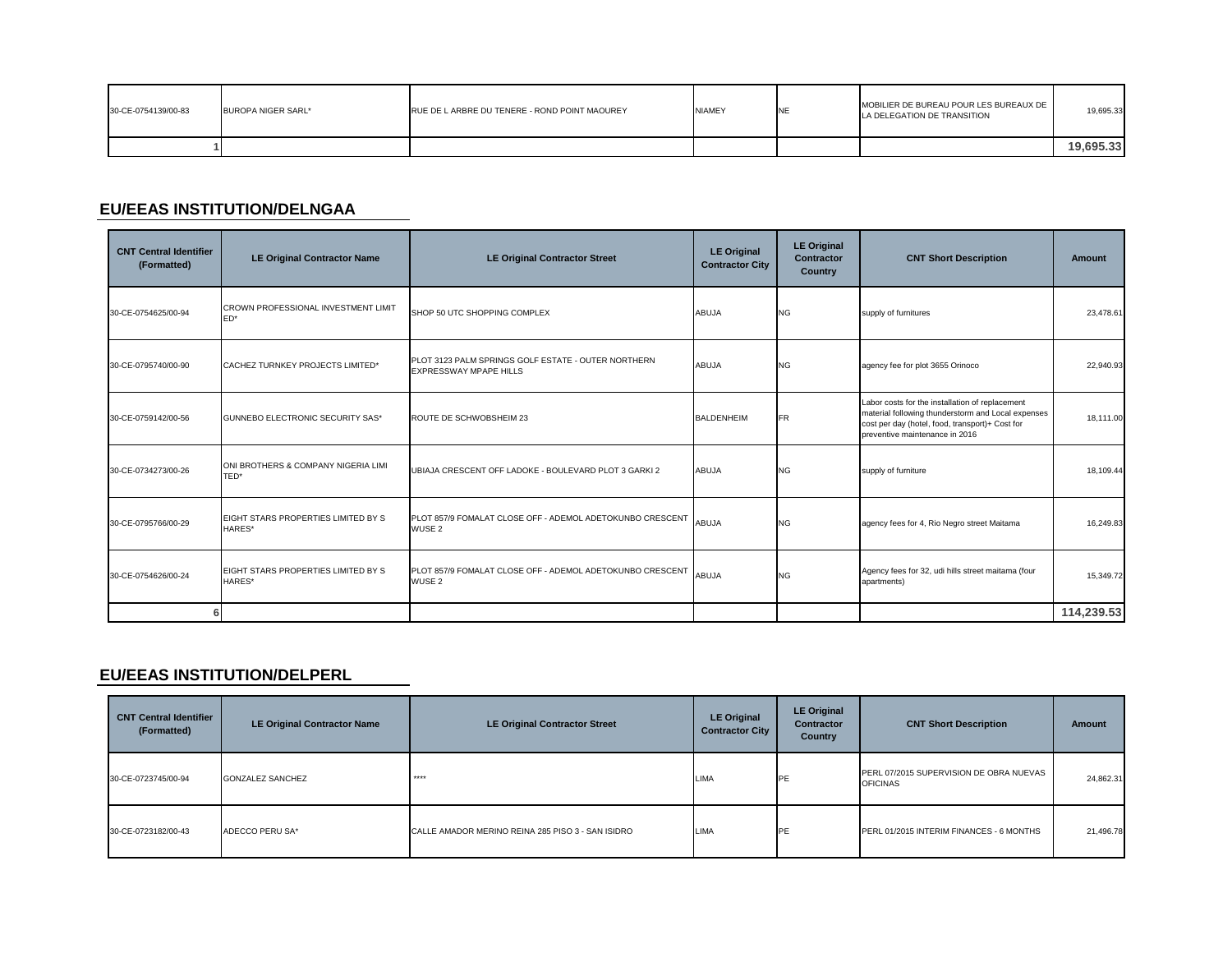| 30-CE-0754139/00-83 | BUROPA NIGER SARL* | RUE DE L ARBRE DU TENERE - ROND POINT MAOUREY | <b>NIAMEY</b> | MOBILIER DE BUREAU POUR LES BUREAUX DE<br>LA DELEGATION DE TRANSITION | 19.695.33 |
|---------------------|--------------------|-----------------------------------------------|---------------|-----------------------------------------------------------------------|-----------|
|                     |                    |                                               |               |                                                                       | 19.695.33 |

# **EU/EEAS INSTITUTION/DELNGAA**

| <b>CNT Central Identifier</b><br>(Formatted) | <b>LE Original Contractor Name</b>            | <b>LE Original Contractor Street</b>                                           | <b>LE Original</b><br><b>Contractor City</b> | <b>LE Original</b><br><b>Contractor</b><br>Country | <b>CNT Short Description</b>                                                                                                                                                               | <b>Amount</b> |
|----------------------------------------------|-----------------------------------------------|--------------------------------------------------------------------------------|----------------------------------------------|----------------------------------------------------|--------------------------------------------------------------------------------------------------------------------------------------------------------------------------------------------|---------------|
| 30-CE-0754625/00-94                          | CROWN PROFESSIONAL INVESTMENT LIMIT<br>ED*    | SHOP 50 UTC SHOPPING COMPLEX                                                   | <b>ABUJA</b>                                 | <b>NG</b>                                          | supply of furnitures                                                                                                                                                                       | 23,478.61     |
| 30-CE-0795740/00-90                          | CACHEZ TURNKEY PROJECTS LIMITED*              | PLOT 3123 PALM SPRINGS GOLF ESTATE - OUTER NORTHERN<br>EXPRESSWAY MPAPE HILLS  | <b>ABUJA</b>                                 | <b>NG</b>                                          | agency fee for plot 3655 Orinoco                                                                                                                                                           | 22,940.93     |
| 30-CE-0759142/00-56                          | GUNNEBO ELECTRONIC SECURITY SAS*              | ROUTE DE SCHWOBSHEIM 23                                                        | <b>BALDENHEIM</b>                            | <b>FR</b>                                          | Labor costs for the installation of replacement<br>material following thunderstorm and Local expenses<br>cost per day (hotel, food, transport)+ Cost for<br>preventive maintenance in 2016 | 18,111.00     |
| 30-CE-0734273/00-26                          | ONI BROTHERS & COMPANY NIGERIA LIMI<br>TED*   | UBIAJA CRESCENT OFF LADOKE - BOULEVARD PLOT 3 GARKI 2                          | <b>ABUJA</b>                                 | <b>NG</b>                                          | supply of furniture                                                                                                                                                                        | 18,109.44     |
| 30-CE-0795766/00-29                          | EIGHT STARS PROPERTIES LIMITED BY S<br>HARES* | PLOT 857/9 FOMALAT CLOSE OFF - ADEMOL ADETOKUNBO CRESCENT<br>WUSE <sub>2</sub> | <b>ABUJA</b>                                 | <b>NG</b>                                          | agency fees for 4, Rio Negro street Maitama                                                                                                                                                | 16,249.83     |
| 30-CE-0754626/00-24                          | EIGHT STARS PROPERTIES LIMITED BY S<br>HARES* | PLOT 857/9 FOMALAT CLOSE OFF - ADEMOL ADETOKUNBO CRESCENT<br>WUSE <sub>2</sub> | <b>ABUJA</b>                                 | <b>NG</b>                                          | Agency fees for 32, udi hills street maitama (four<br>apartments)                                                                                                                          | 15,349.72     |
| 6                                            |                                               |                                                                                |                                              |                                                    |                                                                                                                                                                                            | 114,239.53    |

### **EU/EEAS INSTITUTION/DELPERL**

| <b>CNT Central Identifier</b><br>(Formatted) | <b>LE Original Contractor Name</b> | <b>LE Original Contractor Street</b>              | <b>LE Original</b><br><b>Contractor City</b> | <b>LE Original</b><br>Contractor<br><b>Country</b> | <b>CNT Short Description</b>                               | Amount    |
|----------------------------------------------|------------------------------------|---------------------------------------------------|----------------------------------------------|----------------------------------------------------|------------------------------------------------------------|-----------|
| 30-CE-0723745/00-94                          | <b>GONZALEZ SANCHEZ</b>            | ****                                              | <b>LIMA</b>                                  | PE                                                 | PERL 07/2015 SUPERVISION DE OBRA NUEVAS<br><b>OFICINAS</b> | 24,862.31 |
| 30-CE-0723182/00-43                          | ADECCO PERU SA*                    | CALLE AMADOR MERINO REINA 285 PISO 3 - SAN ISIDRO | LIMA                                         | PE                                                 | PERL 01/2015 INTERIM FINANCES - 6 MONTHS                   | 21,496.78 |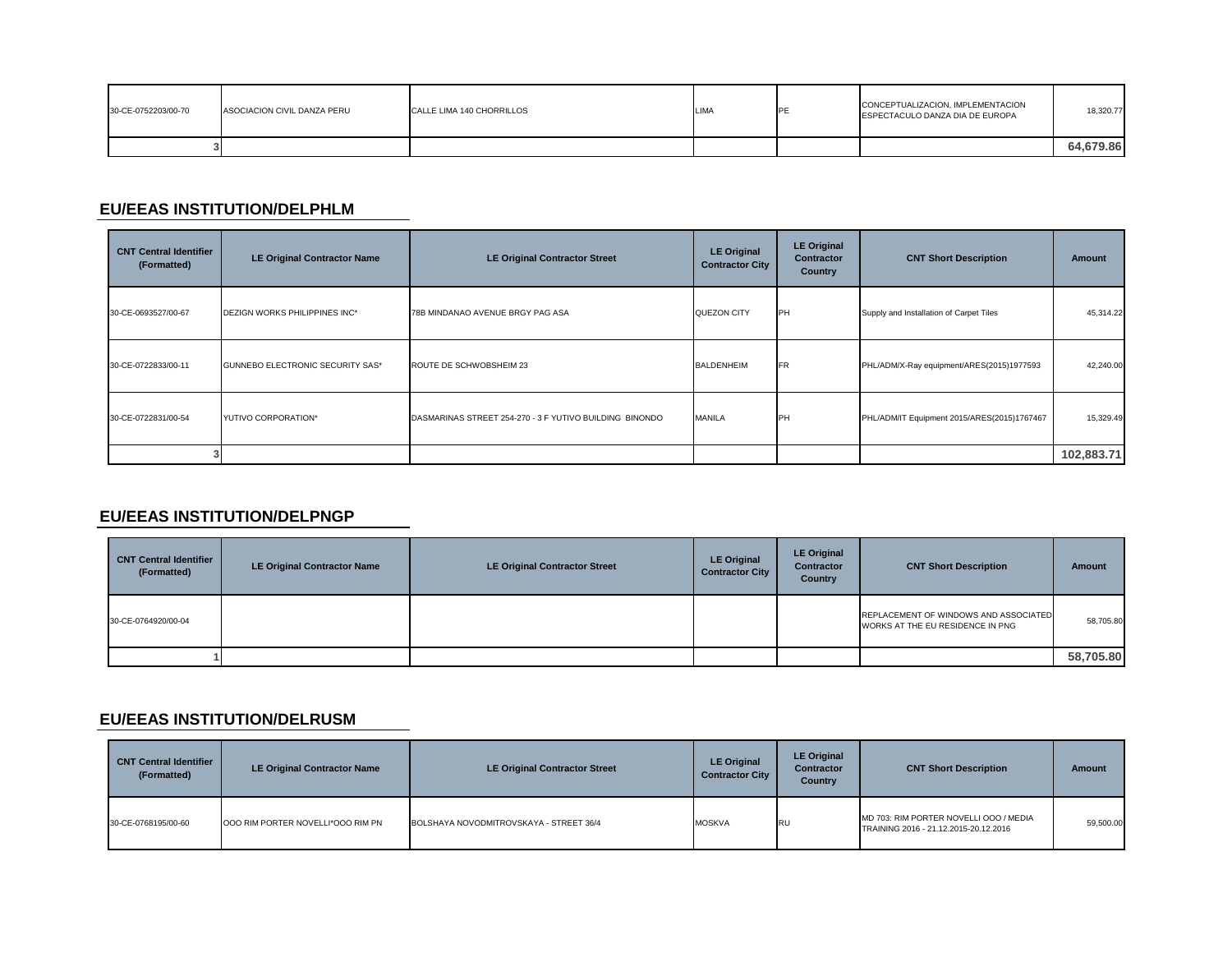| 30-CE-0752203/00-70 | ASOCIACION CIVIL DANZA PERU | CALLE LIMA 140 CHORRILLOS | LIMA | PF | CONCEPTUALIZACION, IMPLEMENTACION<br>ESPECTACULO DANZA DIA DE EUROPA | 18,320.77 |
|---------------------|-----------------------------|---------------------------|------|----|----------------------------------------------------------------------|-----------|
|                     |                             |                           |      |    |                                                                      | 64.679.86 |

# **EU/EEAS INSTITUTION/DELPHLM**

| <b>CNT Central Identifier</b><br>(Formatted) | <b>LE Original Contractor Name</b>      | <b>LE Original Contractor Street</b>                    | <b>LE Original</b><br><b>Contractor City</b> | <b>LE Original</b><br><b>Contractor</b><br>Country | <b>CNT Short Description</b>                | Amount     |
|----------------------------------------------|-----------------------------------------|---------------------------------------------------------|----------------------------------------------|----------------------------------------------------|---------------------------------------------|------------|
| 30-CE-0693527/00-67                          | DEZIGN WORKS PHILIPPINES INC*           | 78B MINDANAO AVENUE BRGY PAG ASA                        | QUEZON CITY                                  | <b>IPH</b>                                         | Supply and Installation of Carpet Tiles     | 45,314.22  |
| 30-CE-0722833/00-11                          | <b>GUNNEBO ELECTRONIC SECURITY SAS*</b> | ROUTE DE SCHWOBSHEIM 23                                 | <b>BALDENHEIM</b>                            | <b>IFR</b>                                         | PHL/ADM/X-Ray equipment/ARES(2015)1977593   | 42,240.00  |
| 30-CE-0722831/00-54                          | YUTIVO CORPORATION*                     | DASMARINAS STREET 254-270 - 3 F YUTIVO BUILDING BINONDO | <b>MANILA</b>                                | <b>IPH</b>                                         | PHL/ADM/IT Equipment 2015/ARES(2015)1767467 | 15,329.49  |
|                                              |                                         |                                                         |                                              |                                                    |                                             | 102,883.71 |

### **EU/EEAS INSTITUTION/DELPNGP**

| <b>CNT Central Identifier</b><br>(Formatted) | <b>LE Original Contractor Name</b> | <b>LE Original Contractor Street</b> | <b>LE Original</b><br><b>Contractor City</b> | <b>LE Original</b><br><b>Contractor</b><br><b>Country</b> | <b>CNT Short Description</b>                                              | Amount    |
|----------------------------------------------|------------------------------------|--------------------------------------|----------------------------------------------|-----------------------------------------------------------|---------------------------------------------------------------------------|-----------|
| 30-CE-0764920/00-04                          |                                    |                                      |                                              |                                                           | REPLACEMENT OF WINDOWS AND ASSOCIATED<br>WORKS AT THE EU RESIDENCE IN PNG | 58,705.80 |
|                                              |                                    |                                      |                                              |                                                           |                                                                           | 58,705.80 |

### **EU/EEAS INSTITUTION/DELRUSM**

| <b>CNT Central Identifier</b><br>(Formatted) | <b>LE Original Contractor Name</b> | <b>LE Original Contractor Street</b>    | <b>LE Original</b><br><b>Contractor City</b> | <b>LE Original</b><br><b>Contractor</b><br>Country | <b>CNT Short Description</b>                                                    | <b>Amount</b> |
|----------------------------------------------|------------------------------------|-----------------------------------------|----------------------------------------------|----------------------------------------------------|---------------------------------------------------------------------------------|---------------|
| 30-CE-0768195/00-60                          | OOO RIM PORTER NOVELLI*OOO RIM PN  | BOLSHAYA NOVODMITROVSKAYA - STREET 36/4 | <b>MOSKVA</b>                                | <b>RU</b>                                          | MD 703: RIM PORTER NOVELLI OOO / MEDIA<br>TRAINING 2016 - 21.12.2015-20.12.2016 | 59,500.00     |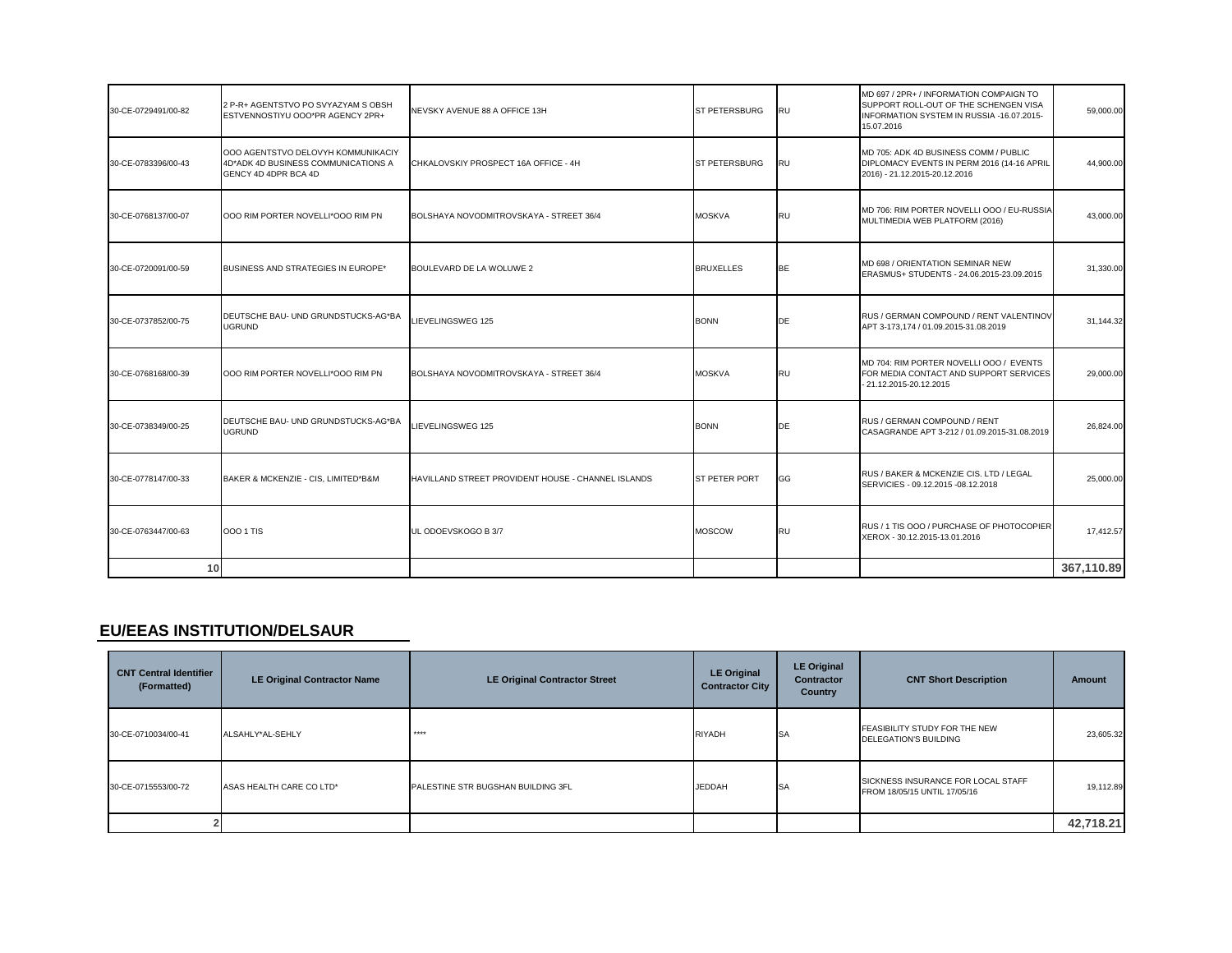| 30-CE-0729491/00-82 | 2 P-R+ AGENTSTVO PO SVYAZYAM S OBSH<br>ESTVENNOSTIYU OOO*PR AGENCY 2PR+                           | NEVSKY AVENUE 88 A OFFICE 13H                      | <b>ST PETERSBURG</b> | <b>RU</b> | MD 697 / 2PR+ / INFORMATION COMPAIGN TO<br>SUPPORT ROLL-OUT OF THE SCHENGEN VISA<br>INFORMATION SYSTEM IN RUSSIA -16.07.2015-<br>15.07.2016 | 59,000.00  |
|---------------------|---------------------------------------------------------------------------------------------------|----------------------------------------------------|----------------------|-----------|---------------------------------------------------------------------------------------------------------------------------------------------|------------|
| 30-CE-0783396/00-43 | 000 AGENTSTVO DELOVYH KOMMUNIKACIY<br>4D*ADK 4D BUSINESS COMMUNICATIONS A<br>GENCY 4D 4DPR BCA 4D | CHKALOVSKIY PROSPECT 16A OFFICE - 4H               | <b>ST PETERSBURG</b> | RU        | MD 705: ADK 4D BUSINESS COMM / PUBLIC<br>DIPLOMACY EVENTS IN PERM 2016 (14-16 APRIL<br>2016) - 21.12.2015-20.12.2016                        | 44,900.00  |
| 30-CE-0768137/00-07 | 000 RIM PORTER NOVELLI*OOO RIM PN                                                                 | BOLSHAYA NOVODMITROVSKAYA - STREET 36/4            | <b>MOSKVA</b>        | <b>RU</b> | MD 706: RIM PORTER NOVELLI OOO / EU-RUSSIA<br>MULTIMEDIA WEB PLATFORM (2016)                                                                | 43,000.00  |
| 30-CE-0720091/00-59 | BUSINESS AND STRATEGIES IN EUROPE*                                                                | BOULEVARD DE LA WOLUWE 2                           | <b>BRUXELLES</b>     | BE        | MD 698 / ORIENTATION SEMINAR NEW<br>ERASMUS+ STUDENTS - 24.06.2015-23.09.2015                                                               | 31,330.00  |
| 30-CE-0737852/00-75 | DEUTSCHE BAU- UND GRUNDSTUCKS-AG*BA<br><b>UGRUND</b>                                              | LIEVELINGSWEG 125                                  | <b>BONN</b>          | <b>DE</b> | RUS / GERMAN COMPOUND / RENT VALENTINOV<br>APT 3-173.174 / 01.09.2015-31.08.2019                                                            | 31,144.32  |
| 30-CE-0768168/00-39 | 000 RIM PORTER NOVELLI*000 RIM PN                                                                 | BOLSHAYA NOVODMITROVSKAYA - STREET 36/4            | <b>MOSKVA</b>        | <b>RU</b> | MD 704: RIM PORTER NOVELLI OOO / EVENTS<br>FOR MEDIA CONTACT AND SUPPORT SERVICES<br>- 21.12.2015-20.12.2015                                | 29,000.00  |
| 30-CE-0738349/00-25 | DEUTSCHE BAU- UND GRUNDSTUCKS-AG*BA<br><b>UGRUND</b>                                              | LIEVELINGSWEG 125                                  | <b>BONN</b>          | DE        | RUS / GERMAN COMPOUND / RENT<br>CASAGRANDE APT 3-212 / 01.09.2015-31.08.2019                                                                | 26,824.00  |
| 30-CE-0778147/00-33 | BAKER & MCKENZIE - CIS, LIMITED*B&M                                                               | HAVILLAND STREET PROVIDENT HOUSE - CHANNEL ISLANDS | ST PETER PORT        | GG        | RUS / BAKER & MCKENZIE CIS. LTD / LEGAL<br>SERVICIES - 09.12.2015 -08.12.2018                                                               | 25,000.00  |
| 30-CE-0763447/00-63 | 000 1 TIS                                                                                         | UL ODOEVSKOGO B 3/7                                | <b>MOSCOW</b>        | <b>RU</b> | RUS / 1 TIS 000 / PURCHASE OF PHOTOCOPIER<br>XEROX - 30.12.2015-13.01.2016                                                                  | 17,412.57  |
| 10                  |                                                                                                   |                                                    |                      |           |                                                                                                                                             | 367,110.89 |

### **EU/EEAS INSTITUTION/DELSAUR**

| <b>CNT Central Identifier</b><br>(Formatted) | <b>LE Original Contractor Name</b> | <b>LE Original Contractor Street</b> | <b>LE Original</b><br><b>Contractor City</b> | <b>LE Original</b><br><b>Contractor</b><br>Country | <b>CNT Short Description</b>                                       | Amount    |
|----------------------------------------------|------------------------------------|--------------------------------------|----------------------------------------------|----------------------------------------------------|--------------------------------------------------------------------|-----------|
| 30-CE-0710034/00-41                          | ALSAHLY*AL-SEHLY                   | $****$                               | <b>RIYADH</b>                                | <b>SA</b>                                          | FEASIBILITY STUDY FOR THE NEW<br><b>DELEGATION'S BUILDING</b>      | 23,605.32 |
| 30-CE-0715553/00-72                          | ASAS HEALTH CARE CO LTD*           | PALESTINE STR BUGSHAN BUILDING 3FL   | <b>JEDDAH</b>                                | <b>SA</b>                                          | SICKNESS INSURANCE FOR LOCAL STAFF<br>FROM 18/05/15 UNTIL 17/05/16 | 19,112.89 |
|                                              |                                    |                                      |                                              |                                                    |                                                                    | 42,718.21 |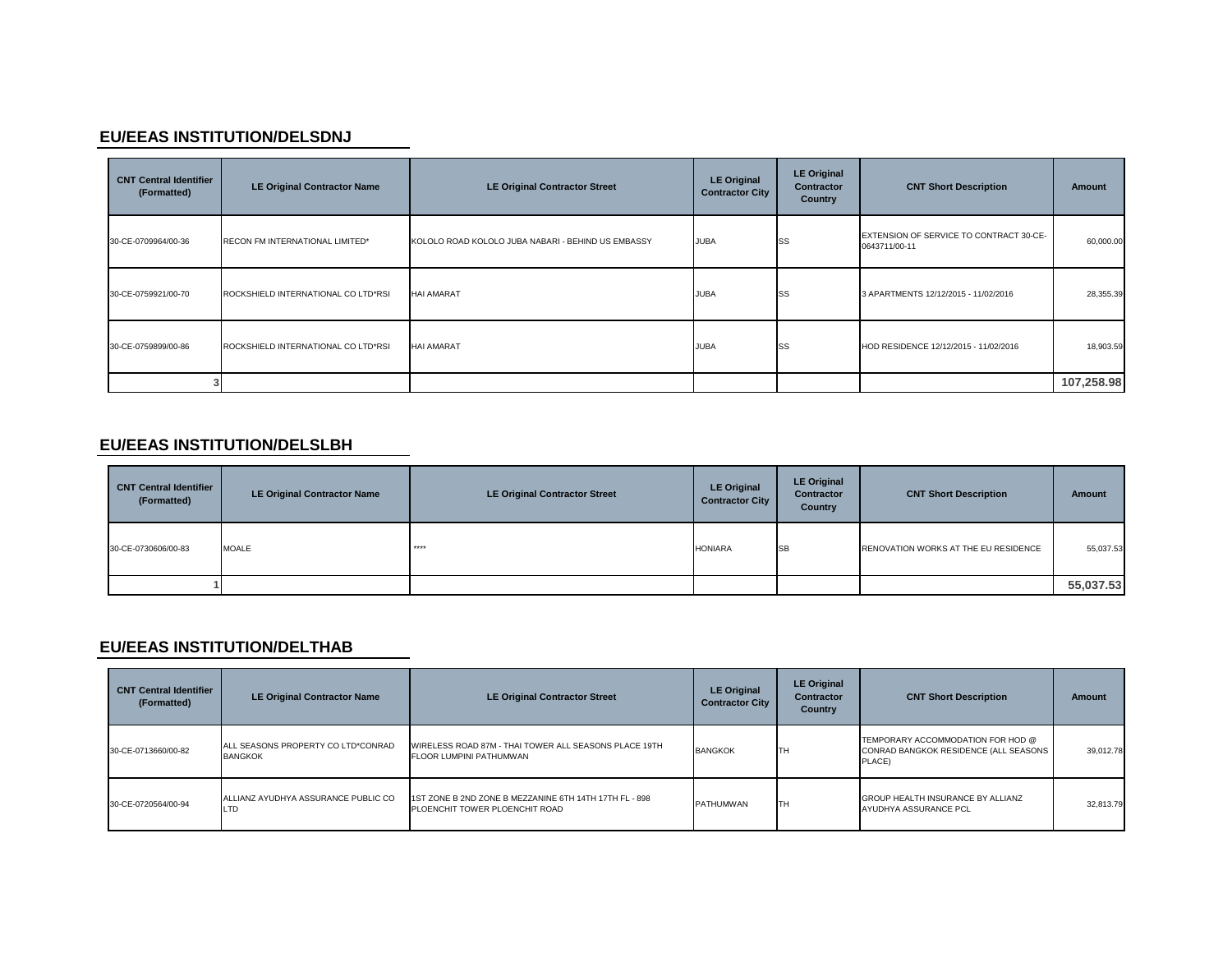### **EU/EEAS INSTITUTION/DELSDNJ**

| <b>CNT Central Identifier</b><br>(Formatted) | <b>LE Original Contractor Name</b>  | <b>LE Original Contractor Street</b>               | <b>LE Original</b><br><b>Contractor City</b> | <b>LE Original</b><br><b>Contractor</b><br>Country | <b>CNT Short Description</b>                             | <b>Amount</b> |
|----------------------------------------------|-------------------------------------|----------------------------------------------------|----------------------------------------------|----------------------------------------------------|----------------------------------------------------------|---------------|
| 30-CE-0709964/00-36                          | RECON FM INTERNATIONAL LIMITED*     | KOLOLO ROAD KOLOLO JUBA NABARI - BEHIND US EMBASSY | <b>JUBA</b>                                  | SS                                                 | EXTENSION OF SERVICE TO CONTRACT 30-CE-<br>0643711/00-11 | 60,000.00     |
| 30-CE-0759921/00-70                          | ROCKSHIELD INTERNATIONAL CO LTD*RSI | <b>HAI AMARAT</b>                                  | <b>JUBA</b>                                  | SS                                                 | 3 APARTMENTS 12/12/2015 - 11/02/2016                     | 28,355.39     |
| 30-CE-0759899/00-86                          | ROCKSHIELD INTERNATIONAL CO LTD*RSI | <b>HAI AMARAT</b>                                  | <b>JUBA</b>                                  | SS                                                 | HOD RESIDENCE 12/12/2015 - 11/02/2016                    | 18,903.59     |
|                                              |                                     |                                                    |                                              |                                                    |                                                          | 107,258.98    |

### **EU/EEAS INSTITUTION/DELSLBH**

| <b>CNT Central Identifier</b><br>(Formatted) | <b>LE Original Contractor Name</b> | <b>LE Original Contractor Street</b> | <b>LE Original</b><br><b>Contractor City</b> | <b>LE Original</b><br><b>Contractor</b><br>Country | <b>CNT Short Description</b>         | <b>Amount</b> |
|----------------------------------------------|------------------------------------|--------------------------------------|----------------------------------------------|----------------------------------------------------|--------------------------------------|---------------|
| 30-CE-0730606/00-83                          | <b>MOALE</b>                       | ****                                 | <b>HONIARA</b>                               | <b>SB</b>                                          | RENOVATION WORKS AT THE EU RESIDENCE | 55,037.53     |
|                                              |                                    |                                      |                                              |                                                    |                                      | 55,037.53     |

### **EU/EEAS INSTITUTION/DELTHAB**

| <b>CNT Central Identifier</b><br>(Formatted) | <b>LE Original Contractor Name</b>                   | <b>LE Original Contractor Street</b>                                                     | <b>LE Original</b><br><b>Contractor City</b> | <b>LE Original</b><br><b>Contractor</b><br>Country | <b>CNT Short Description</b>                                                         | <b>Amount</b> |
|----------------------------------------------|------------------------------------------------------|------------------------------------------------------------------------------------------|----------------------------------------------|----------------------------------------------------|--------------------------------------------------------------------------------------|---------------|
| 30-CE-0713660/00-82                          | ALL SEASONS PROPERTY CO LTD*CONRAD<br><b>BANGKOK</b> | WIRELESS ROAD 87M - THAI TOWER ALL SEASONS PLACE 19TH<br>FLOOR LUMPINI PATHUMWAN         | <b>BANGKOK</b>                               | TH                                                 | TEMPORARY ACCOMMODATION FOR HOD @<br>CONRAD BANGKOK RESIDENCE (ALL SEASONS<br>PLACE) | 39.012.78     |
| 30-CE-0720564/00-94                          | ALLIANZ AYUDHYA ASSURANCE PUBLIC CO<br>LTD           | 1ST ZONE B 2ND ZONE B MEZZANINE 6TH 14TH 17TH FL - 898<br>PLOENCHIT TOWER PLOENCHIT ROAD | PATHUMWAN                                    | Iтн                                                | <b>GROUP HEALTH INSURANCE BY ALLIANZ</b><br>AYUDHYA ASSURANCE PCL                    | 32.813.79     |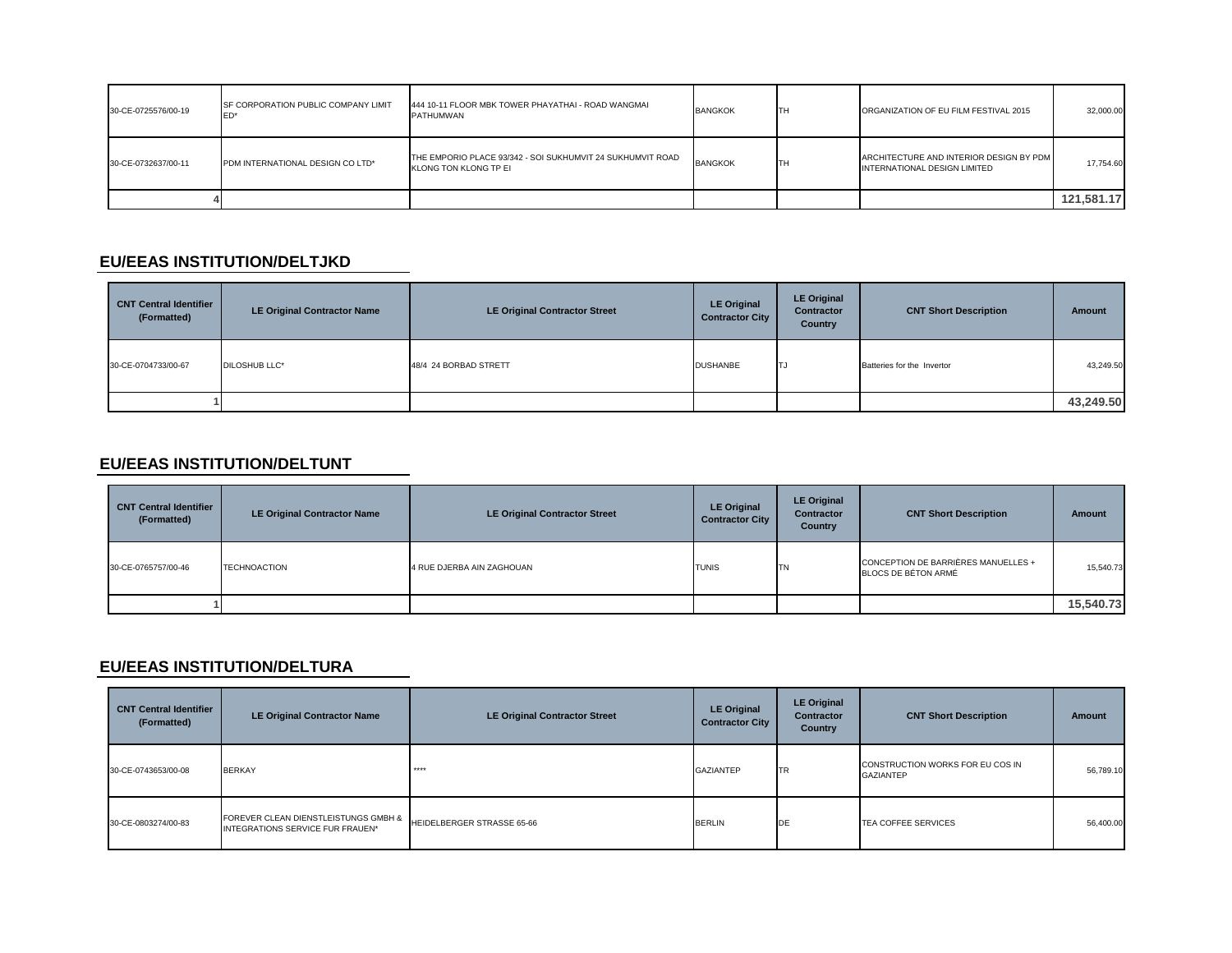| 30-CE-0725576/00-19 | <b>ISF CORPORATION PUBLIC COMPANY LIMIT</b> | 444 10-11 FLOOR MBK TOWER PHAYATHAI - ROAD WANGMAI<br>PATHUMWAN                     | <b>BANGKOK</b> | TH | ORGANIZATION OF EU FILM FESTIVAL 2015                                   | 32,000.00  |
|---------------------|---------------------------------------------|-------------------------------------------------------------------------------------|----------------|----|-------------------------------------------------------------------------|------------|
| 30-CE-0732637/00-11 | PDM INTERNATIONAL DESIGN CO LTD*            | THE EMPORIO PLACE 93/342 - SOI SUKHUMVIT 24 SUKHUMVIT ROAD<br>KLONG TON KLONG TP EI | <b>BANGKOK</b> | TH | ARCHITECTURE AND INTERIOR DESIGN BY PDM<br>INTERNATIONAL DESIGN LIMITED | 17.754.60  |
|                     |                                             |                                                                                     |                |    |                                                                         | 121.581.17 |

### **EU/EEAS INSTITUTION/DELTJKD**

| <b>CNT Central Identifier</b><br>(Formatted) | <b>LE Original Contractor Name</b> | <b>LE Original Contractor Street</b> | <b>LE Original</b><br><b>Contractor City</b> | <b>LE Original</b><br><b>Contractor</b><br><b>Country</b> | <b>CNT Short Description</b> | Amount    |
|----------------------------------------------|------------------------------------|--------------------------------------|----------------------------------------------|-----------------------------------------------------------|------------------------------|-----------|
| 30-CE-0704733/00-67                          | <b>DILOSHUB LLC*</b>               | 48/4 24 BORBAD STRETT                | <b>DUSHANBE</b>                              | <b>ITJ</b>                                                | Batteries for the Invertor   | 43,249.50 |
|                                              |                                    |                                      |                                              |                                                           |                              | 43,249.50 |

#### **EU/EEAS INSTITUTION/DELTUNT**

| <b>CNT Central Identifier</b><br>(Formatted) | <b>LE Original Contractor Name</b> | <b>LE Original Contractor Street</b> | <b>LE Original</b><br><b>Contractor City</b> | <b>LE Original</b><br>Contractor<br>Country | <b>CNT Short Description</b>                               | Amount    |
|----------------------------------------------|------------------------------------|--------------------------------------|----------------------------------------------|---------------------------------------------|------------------------------------------------------------|-----------|
| 30-CE-0765757/00-46                          | <b>TECHNOACTION</b>                | 4 RUE DJERBA AIN ZAGHOUAN            | <b>TUNIS</b>                                 | <b>ITN</b>                                  | CONCEPTION DE BARRIÈRES MANUELLES +<br>BLOCS DE BÉTON ARMÉ | 15,540.73 |
|                                              |                                    |                                      |                                              |                                             |                                                            | 15,540.73 |

### **EU/EEAS INSTITUTION/DELTURA**

| <b>CNT Central Identifier</b><br>(Formatted) | <b>LE Original Contractor Name</b>                                       | <b>LE Original Contractor Street</b> | <b>LE Original</b><br><b>Contractor City</b> | <b>LE Original</b><br><b>Contractor</b><br><b>Country</b> | <b>CNT Short Description</b>                         | Amount    |
|----------------------------------------------|--------------------------------------------------------------------------|--------------------------------------|----------------------------------------------|-----------------------------------------------------------|------------------------------------------------------|-----------|
| 30-CE-0743653/00-08                          | <b>BERKAY</b>                                                            | $****$                               | GAZIANTEP                                    | <b>TR</b>                                                 | CONSTRUCTION WORKS FOR EU COS IN<br><b>GAZIANTEP</b> | 56,789.10 |
| 30-CE-0803274/00-83                          | FOREVER CLEAN DIENSTLEISTUNGS GMBH &<br>INTEGRATIONS SERVICE FUR FRAUEN* | HEIDELBERGER STRASSE 65-66           | <b>BERLIN</b>                                | DE                                                        | TEA COFFEE SERVICES                                  | 56,400.00 |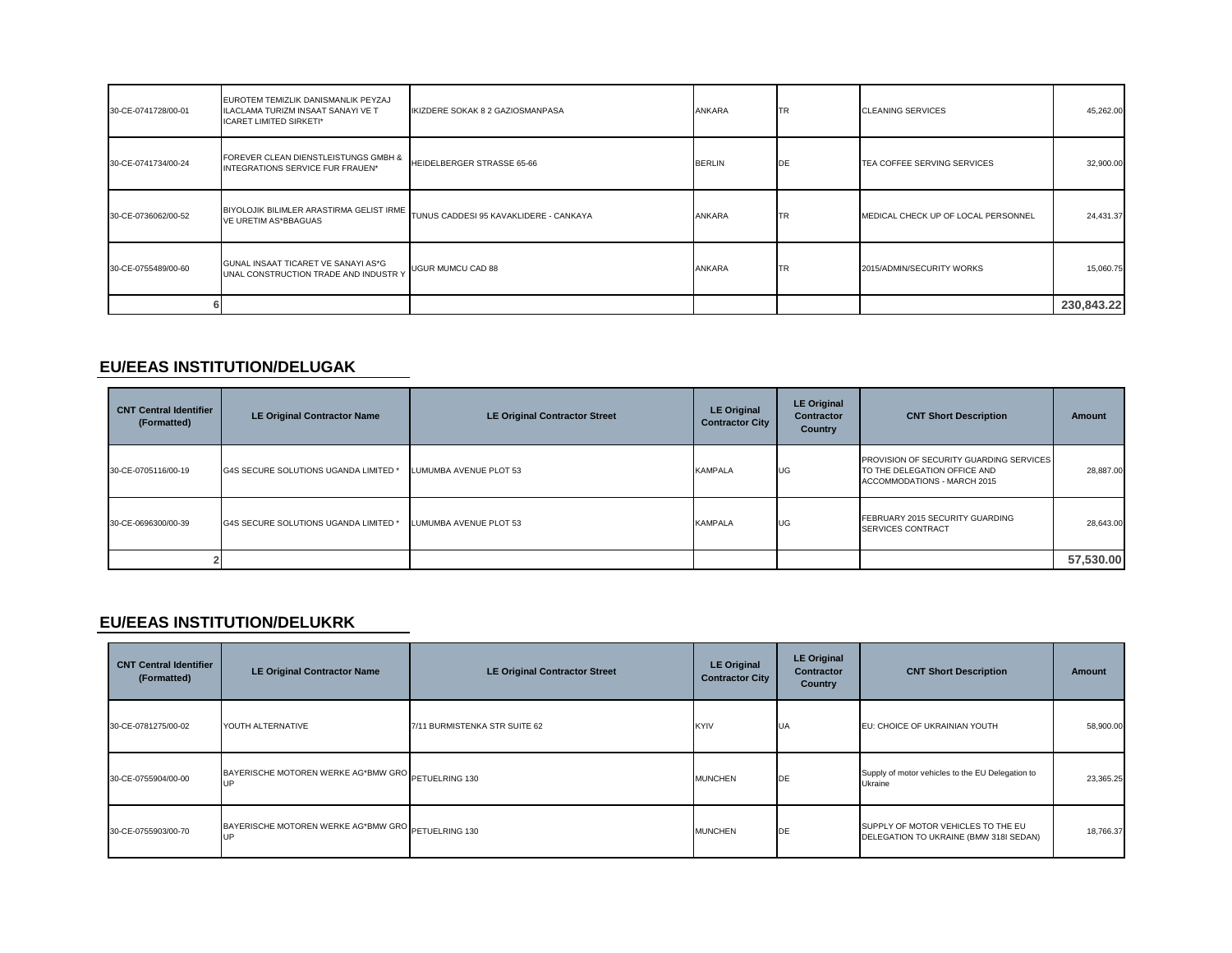| 30-CE-0741728/00-01 | EUROTEM TEMIZLIK DANISMANLIK PEYZAJ<br>ILACLAMA TURIZM INSAAT SANAYI VE T<br><b>ICARET LIMITED SIRKETI*</b> | IKIZDERE SOKAK 8 2 GAZIOSMANPASA       | ANKARA        | <b>TR</b>  | <b>CLEANING SERVICES</b>            | 45,262.00  |
|---------------------|-------------------------------------------------------------------------------------------------------------|----------------------------------------|---------------|------------|-------------------------------------|------------|
| 30-CE-0741734/00-24 | FOREVER CLEAN DIENSTLEISTUNGS GMBH &<br>INTEGRATIONS SERVICE FUR FRAUEN*                                    | HEIDELBERGER STRASSE 65-66             | <b>BERLIN</b> | <b>DE</b>  | TEA COFFEE SERVING SERVICES         | 32,900.00  |
| 30-CE-0736062/00-52 | BIYOLOJIK BILIMLER ARASTIRMA GELIST IRME<br><b>VE URETIM AS*BBAGUAS</b>                                     | TUNUS CADDESI 95 KAVAKLIDERE - CANKAYA | <b>ANKARA</b> | <b>ITR</b> | MEDICAL CHECK UP OF LOCAL PERSONNEL | 24,431.37  |
| 30-CE-0755489/00-60 | GUNAL INSAAT TICARET VE SANAYI AS*G<br>UNAL CONSTRUCTION TRADE AND INDUSTR Y                                | <b>UGUR MUMCU CAD 88</b>               | ANKARA        | <b>ITR</b> | 2015/ADMIN/SECURITY WORKS           | 15,060.75  |
|                     |                                                                                                             |                                        |               |            |                                     | 230,843.22 |

### **EU/EEAS INSTITUTION/DELUGAK**

| <b>CNT Central Identifier</b><br>(Formatted) | <b>LE Original Contractor Name</b>    | <b>LE Original Contractor Street</b> | <b>LE Original</b><br><b>Contractor City</b> | <b>LE Original</b><br><b>Contractor</b><br>Country | <b>CNT Short Description</b>                                                                           | Amount    |
|----------------------------------------------|---------------------------------------|--------------------------------------|----------------------------------------------|----------------------------------------------------|--------------------------------------------------------------------------------------------------------|-----------|
| 30-CE-0705116/00-19                          | G4S SECURE SOLUTIONS UGANDA LIMITED * | LUMUMBA AVENUE PLOT 53               | <b>KAMPALA</b>                               | <b>UG</b>                                          | PROVISION OF SECURITY GUARDING SERVICES<br>TO THE DELEGATION OFFICE AND<br>ACCOMMODATIONS - MARCH 2015 | 28,887.00 |
| 30-CE-0696300/00-39                          | G4S SECURE SOLUTIONS UGANDA LIMITED * | LUMUMBA AVENUE PLOT 53               | <b>KAMPALA</b>                               | UG                                                 | FEBRUARY 2015 SECURITY GUARDING<br>SERVICES CONTRACT                                                   | 28,643.00 |
|                                              |                                       |                                      |                                              |                                                    |                                                                                                        | 57,530.00 |

### **EU/EEAS INSTITUTION/DELUKRK**

| <b>CNT Central Identifier</b><br>(Formatted) | <b>LE Original Contractor Name</b>                               | <b>LE Original Contractor Street</b> | <b>LE Original</b><br><b>Contractor City</b> | <b>LE Original</b><br><b>Contractor</b><br><b>Country</b> | <b>CNT Short Description</b>                                                 | <b>Amount</b> |
|----------------------------------------------|------------------------------------------------------------------|--------------------------------------|----------------------------------------------|-----------------------------------------------------------|------------------------------------------------------------------------------|---------------|
| 30-CE-0781275/00-02                          | YOUTH ALTERNATIVE                                                | 7/11 BURMISTENKA STR SUITE 62        | <b>KYIV</b>                                  | <b>UA</b>                                                 | EU: CHOICE OF UKRAINIAN YOUTH                                                | 58,900.00     |
| 30-CE-0755904/00-00                          | BAYERISCHE MOTOREN WERKE AG*BMW GRO PETUELRING 130<br><b>IIP</b> |                                      | <b>MUNCHEN</b>                               | <b>IDE</b>                                                | Supply of motor vehicles to the EU Delegation to<br>Ukraine                  | 23,365.25     |
| 30-CE-0755903/00-70                          | BAYERISCHE MOTOREN WERKE AG*BMW GRO PETUELRING 130<br>UP         |                                      | <b>MUNCHEN</b>                               | DE                                                        | SUPPLY OF MOTOR VEHICLES TO THE EU<br>DELEGATION TO UKRAINE (BMW 318I SEDAN) | 18,766.37     |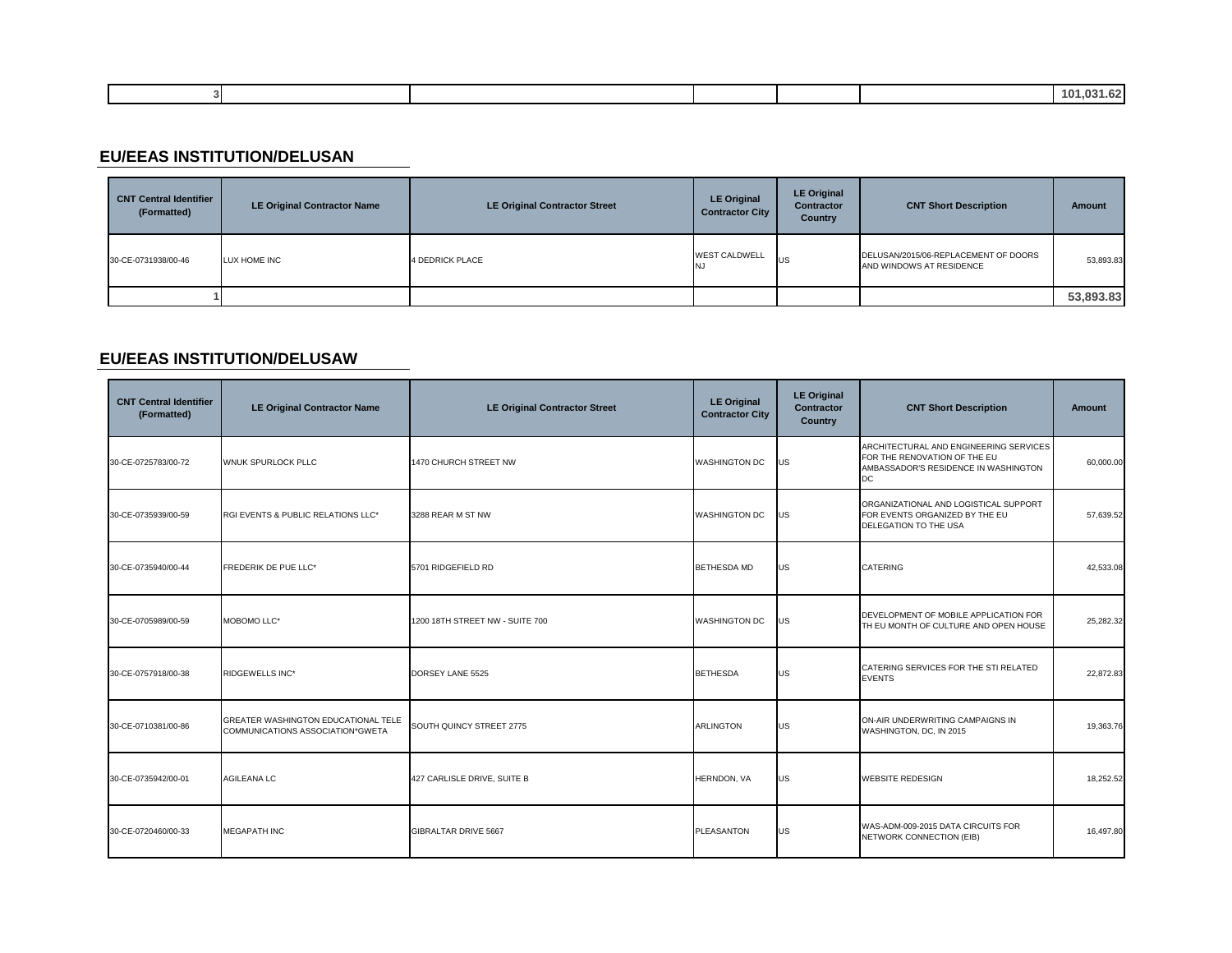|  |  |  | nn.<br>$\sim$<br>-- |
|--|--|--|---------------------|
|  |  |  |                     |

### **EU/EEAS INSTITUTION/DELUSAN**

| <b>CNT Central Identifier</b><br>(Formatted) | <b>LE Original Contractor Name</b> | <b>LE Original Contractor Street</b> | <b>LE Original</b><br><b>Contractor City</b> | <b>LE Original</b><br><b>Contractor</b><br>Country | <b>CNT Short Description</b>                                     | Amount    |
|----------------------------------------------|------------------------------------|--------------------------------------|----------------------------------------------|----------------------------------------------------|------------------------------------------------------------------|-----------|
| 30-CE-0731938/00-46                          | LUX HOME INC                       | <b>4 DEDRICK PLACE</b>               | <b>WEST CALDWELL</b>                         | US                                                 | DELUSAN/2015/06-REPLACEMENT OF DOORS<br>AND WINDOWS AT RESIDENCE | 53,893.83 |
|                                              |                                    |                                      |                                              |                                                    |                                                                  | 53,893.83 |

### **EU/EEAS INSTITUTION/DELUSAW**

| <b>CNT Central Identifier</b><br>(Formatted) | <b>LE Original Contractor Name</b>                                      | <b>LE Original Contractor Street</b> | <b>LE Original</b><br><b>Contractor City</b> | <b>LE Original</b><br>Contractor<br>Country | <b>CNT Short Description</b>                                                                                         | <b>Amount</b> |
|----------------------------------------------|-------------------------------------------------------------------------|--------------------------------------|----------------------------------------------|---------------------------------------------|----------------------------------------------------------------------------------------------------------------------|---------------|
| 30-CE-0725783/00-72                          | WNUK SPURLOCK PLLC                                                      | 1470 CHURCH STREET NW                | <b>WASHINGTON DC</b>                         | US                                          | ARCHITECTURAL AND ENGINEERING SERVICES<br>FOR THE RENOVATION OF THE EU<br>AMBASSADOR'S RESIDENCE IN WASHINGTON<br>DC | 60,000.00     |
| 30-CE-0735939/00-59                          | RGI EVENTS & PUBLIC RELATIONS LLC*                                      | 3288 REAR M ST NW                    | <b>WASHINGTON DC</b>                         | US                                          | ORGANIZATIONAL AND LOGISTICAL SUPPORT<br>FOR EVENTS ORGANIZED BY THE EU<br>DELEGATION TO THE USA                     | 57,639.52     |
| 30-CE-0735940/00-44                          | FREDERIK DE PUE LLC*                                                    | 5701 RIDGEFIELD RD                   | <b>BETHESDA MD</b>                           | <b>US</b>                                   | <b>CATERING</b>                                                                                                      | 42,533.08     |
| 30-CE-0705989/00-59                          | MOBOMO LLC*                                                             | 1200 18TH STREET NW - SUITE 700      | <b>WASHINGTON DC</b>                         | US                                          | DEVELOPMENT OF MOBILE APPLICATION FOR<br>TH EU MONTH OF CULTURE AND OPEN HOUSE                                       | 25,282.32     |
| 30-CE-0757918/00-38                          | <b>RIDGEWELLS INC*</b>                                                  | DORSEY LANE 5525                     | <b>BETHESDA</b>                              | US                                          | CATERING SERVICES FOR THE STI RELATED<br><b>EVENTS</b>                                                               | 22,872.83     |
| 30-CE-0710381/00-86                          | GREATER WASHINGTON EDUCATIONAL TELE<br>COMMUNICATIONS ASSOCIATION*GWETA | SOUTH QUINCY STREET 2775             | <b>ARLINGTON</b>                             | US                                          | ON-AIR UNDERWRITING CAMPAIGNS IN<br>WASHINGTON, DC, IN 2015                                                          | 19,363.76     |
| 30-CE-0735942/00-01                          | <b>AGILEANA LC</b>                                                      | 427 CARLISLE DRIVE, SUITE B          | HERNDON, VA                                  | <b>US</b>                                   | <b>WEBSITE REDESIGN</b>                                                                                              | 18,252.52     |
| 30-CE-0720460/00-33                          | <b>MEGAPATH INC</b>                                                     | GIBRALTAR DRIVE 5667                 | <b>PLEASANTON</b>                            | <b>US</b>                                   | WAS-ADM-009-2015 DATA CIRCUITS FOR<br>NETWORK CONNECTION (EIB)                                                       | 16,497.80     |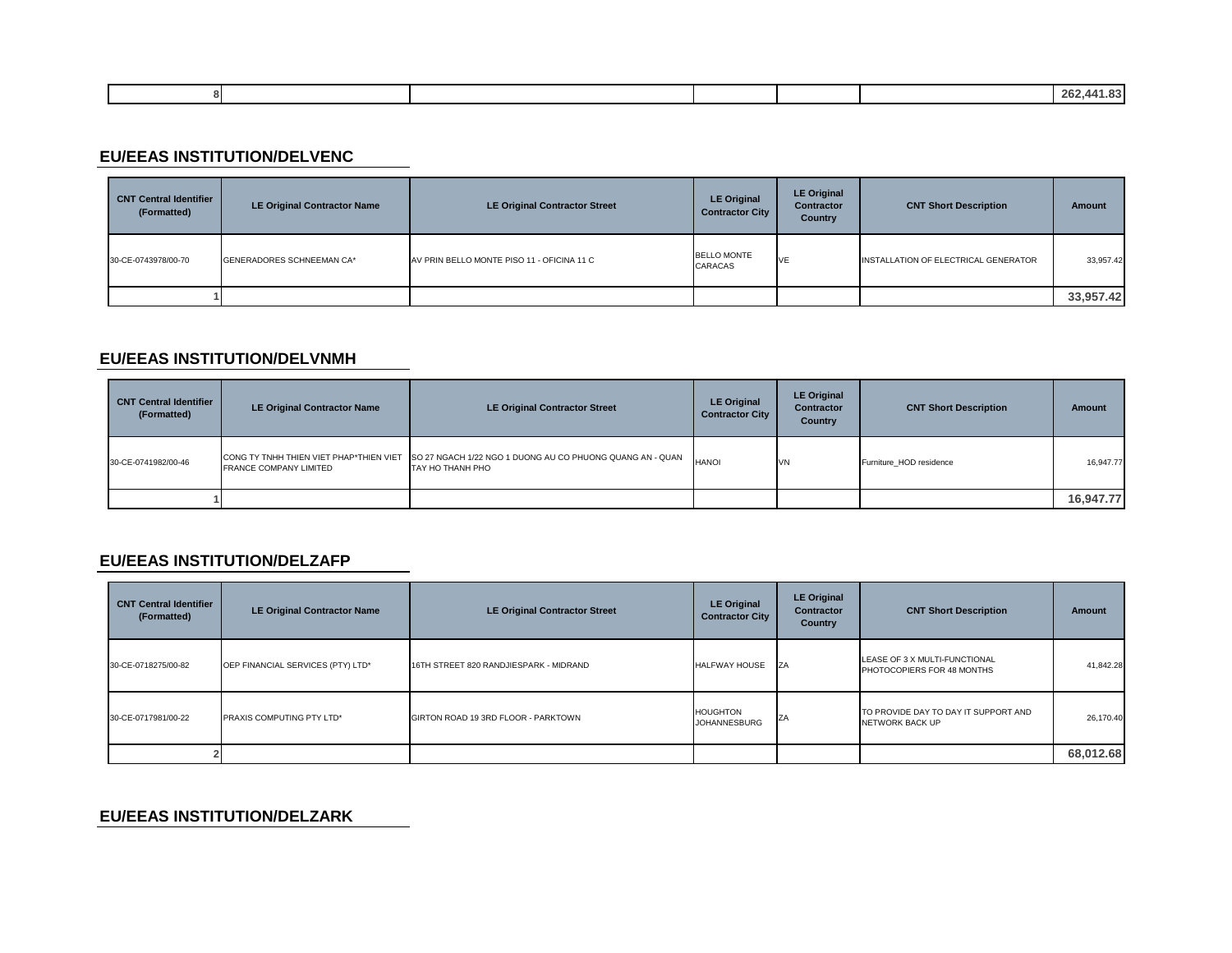| . . |  |  | $\sim$ |
|-----|--|--|--------|
|     |  |  |        |
|     |  |  |        |

### **EU/EEAS INSTITUTION/DELVENC**

| <b>CNT Central Identifier</b><br>(Formatted) | <b>LE Original Contractor Name</b> | <b>LE Original Contractor Street</b>       | <b>LE Original</b><br><b>Contractor City</b> | <b>LE Original</b><br><b>Contractor</b><br>Country | <b>CNT Short Description</b>         | Amount    |
|----------------------------------------------|------------------------------------|--------------------------------------------|----------------------------------------------|----------------------------------------------------|--------------------------------------|-----------|
| 30-CE-0743978/00-70                          | GENERADORES SCHNEEMAN CA*          | AV PRIN BELLO MONTE PISO 11 - OFICINA 11 C | <b>BELLO MONTE</b><br>CARACAS                | VE                                                 | INSTALLATION OF ELECTRICAL GENERATOR | 33,957.42 |
|                                              |                                    |                                            |                                              |                                                    |                                      | 33,957.42 |

#### **EU/EEAS INSTITUTION/DELVNMH**

| <b>CNT Central Identifier</b><br>(Formatted) | <b>LE Original Contractor Name</b>                                       | <b>LE Original Contractor Street</b>                                          | <b>LE Original</b><br><b>Contractor City</b> | <b>LE Original</b><br><b>Contractor</b><br>Country | <b>CNT Short Description</b> | Amount    |
|----------------------------------------------|--------------------------------------------------------------------------|-------------------------------------------------------------------------------|----------------------------------------------|----------------------------------------------------|------------------------------|-----------|
| 30-CE-0741982/00-46                          | CONG TY TNHH THIEN VIET PHAP*THIEN VIET<br><b>FRANCE COMPANY LIMITED</b> | SO 27 NGACH 1/22 NGO 1 DUONG AU CO PHUONG QUANG AN - QUAN<br>TAY HO THANH PHO | <b>HANOI</b>                                 | VN                                                 | Furniture HOD residence      | 16,947.77 |
|                                              |                                                                          |                                                                               |                                              |                                                    |                              | 16,947.77 |

#### **EU/EEAS INSTITUTION/DELZAFP**

| <b>CNT Central Identifier</b><br>(Formatted) | <b>LE Original Contractor Name</b> | <b>LE Original Contractor Street</b>   | <b>LE Original</b><br><b>Contractor City</b> | <b>LE Original</b><br><b>Contractor</b><br>Country | <b>CNT Short Description</b>                                   | <b>Amount</b> |
|----------------------------------------------|------------------------------------|----------------------------------------|----------------------------------------------|----------------------------------------------------|----------------------------------------------------------------|---------------|
| 30-CE-0718275/00-82                          | OEP FINANCIAL SERVICES (PTY) LTD*  | 16TH STREET 820 RANDJIESPARK - MIDRAND | <b>HALFWAY HOUSE</b>                         | <b>IZA</b>                                         | LEASE OF 3 X MULTI-FUNCTIONAL<br>PHOTOCOPIERS FOR 48 MONTHS    | 41,842.28     |
| 30-CE-0717981/00-22                          | <b>PRAXIS COMPUTING PTY LTD*</b>   | GIRTON ROAD 19 3RD FLOOR - PARKTOWN    | <b>HOUGHTON</b><br><b>JOHANNESBURG</b>       | ZA                                                 | TO PROVIDE DAY TO DAY IT SUPPORT AND<br><b>NETWORK BACK UP</b> | 26,170.40     |
|                                              |                                    |                                        |                                              |                                                    |                                                                | 68,012.68     |

### **EU/EEAS INSTITUTION/DELZARK**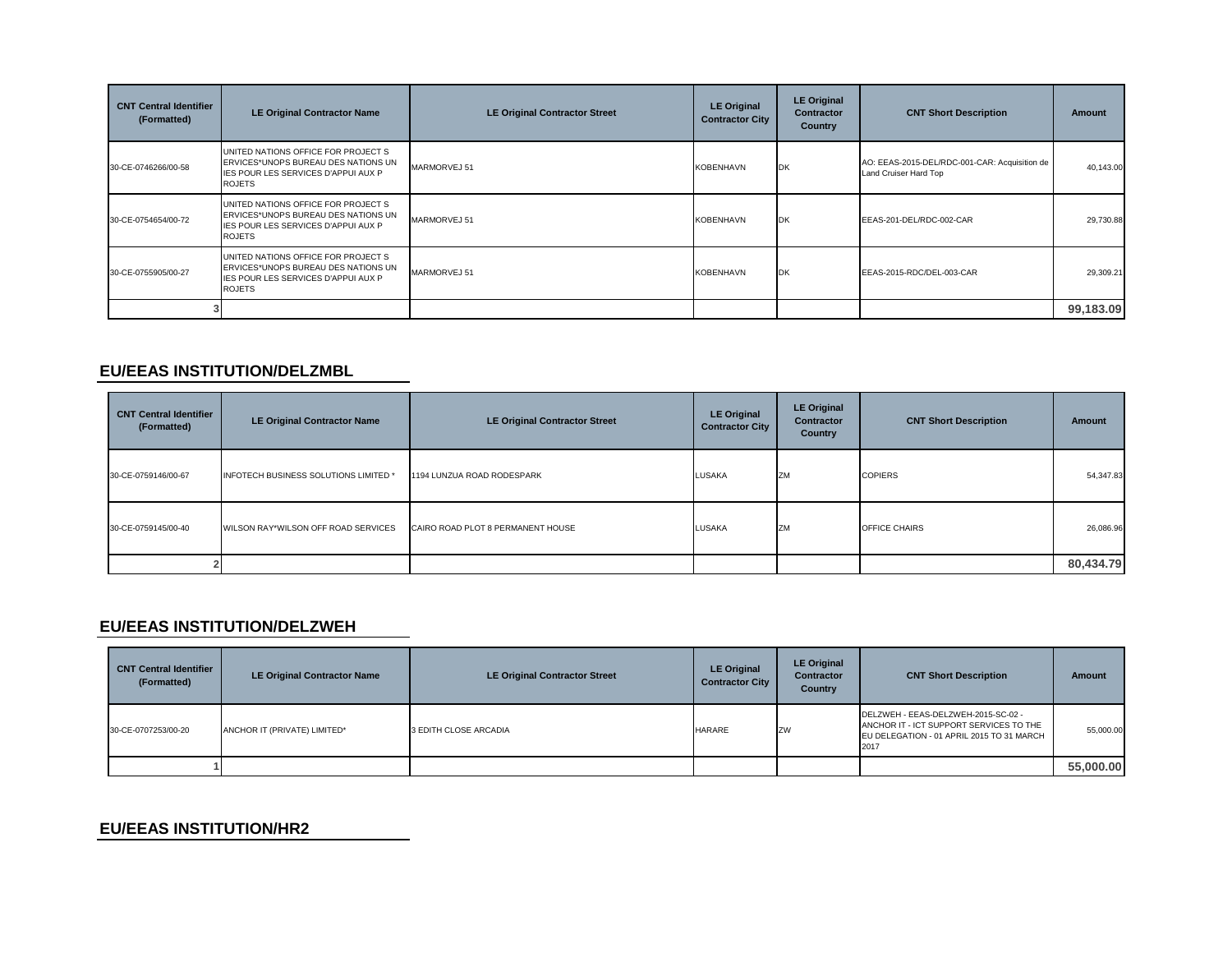| <b>CNT Central Identifier</b><br>(Formatted) | <b>LE Original Contractor Name</b>                                                                                                        | <b>LE Original Contractor Street</b> | <b>LE Original</b><br><b>Contractor City</b> | <b>LE Original</b><br><b>Contractor</b><br>Country | <b>CNT Short Description</b>                                           | <b>Amount</b> |
|----------------------------------------------|-------------------------------------------------------------------------------------------------------------------------------------------|--------------------------------------|----------------------------------------------|----------------------------------------------------|------------------------------------------------------------------------|---------------|
| 30-CE-0746266/00-58                          | UNITED NATIONS OFFICE FOR PROJECT S<br>ERVICES*UNOPS BUREAU DES NATIONS UN<br>IES POUR LES SERVICES D'APPUI AUX P<br><b>ROJETS</b>        | MARMORVEJ 51                         | <b>KOBENHAVN</b>                             | DK                                                 | AO: EEAS-2015-DEL/RDC-001-CAR: Acquisition de<br>Land Cruiser Hard Top | 40,143.00     |
| 30-CE-0754654/00-72                          | UNITED NATIONS OFFICE FOR PROJECT S<br>ERVICES*UNOPS BUREAU DES NATIONS UN<br><b>IES POUR LES SERVICES D'APPUI AUX P</b><br><b>ROJETS</b> | MARMORVEJ 51                         | <b>KOBENHAVN</b>                             | DK                                                 | EEAS-201-DEL/RDC-002-CAR                                               | 29,730.88     |
| 30-CE-0755905/00-27                          | UNITED NATIONS OFFICE FOR PROJECT S<br>ERVICES*UNOPS BUREAU DES NATIONS UN<br>IES POUR LES SERVICES D'APPUI AUX P<br><b>ROJETS</b>        | MARMORVEJ 51                         | <b>KOBENHAVN</b>                             | DK                                                 | EEAS-2015-RDC/DEL-003-CAR                                              | 29,309.21     |
|                                              |                                                                                                                                           |                                      |                                              |                                                    |                                                                        | 99,183.09     |

#### **EU/EEAS INSTITUTION/DELZMBL**

| <b>CNT Central Identifier</b><br>(Formatted) | <b>LE Original Contractor Name</b>    | <b>LE Original Contractor Street</b> | <b>LE Original</b><br><b>Contractor City</b> | <b>LE Original</b><br>Contractor<br><b>Country</b> | <b>CNT Short Description</b> | Amount    |
|----------------------------------------------|---------------------------------------|--------------------------------------|----------------------------------------------|----------------------------------------------------|------------------------------|-----------|
| 30-CE-0759146/00-67                          | INFOTECH BUSINESS SOLUTIONS LIMITED * | 1194 LUNZUA ROAD RODESPARK           | <b>LUSAKA</b>                                | ZM                                                 | <b>COPIERS</b>               | 54,347.83 |
| 30-CE-0759145/00-40                          | WILSON RAY*WILSON OFF ROAD SERVICES   | CAIRO ROAD PLOT 8 PERMANENT HOUSE    | LUSAKA                                       | ZM                                                 | OFFICE CHAIRS                | 26,086.96 |
|                                              |                                       |                                      |                                              |                                                    |                              | 80,434.79 |

#### **EU/EEAS INSTITUTION/DELZWEH**

| <b>CNT Central Identifier</b><br>(Formatted) | <b>LE Original Contractor Name</b> | <b>LE Original Contractor Street</b> | <b>LE Original</b><br><b>Contractor City</b> | <b>LE Original</b><br><b>Contractor</b><br>Country | <b>CNT Short Description</b>                                                                                                        | Amount    |
|----------------------------------------------|------------------------------------|--------------------------------------|----------------------------------------------|----------------------------------------------------|-------------------------------------------------------------------------------------------------------------------------------------|-----------|
| 30-CE-0707253/00-20                          | ANCHOR IT (PRIVATE) LIMITED*       | 3 EDITH CLOSE ARCADIA                | <b>HARARE</b>                                | ZW                                                 | DELZWEH - EEAS-DELZWEH-2015-SC-02 -<br>ANCHOR IT - ICT SUPPORT SERVICES TO THE<br>EU DELEGATION - 01 APRIL 2015 TO 31 MARCH<br>2017 | 55,000.00 |
|                                              |                                    |                                      |                                              |                                                    |                                                                                                                                     | 55,000.00 |

#### **EU/EEAS INSTITUTION/HR2**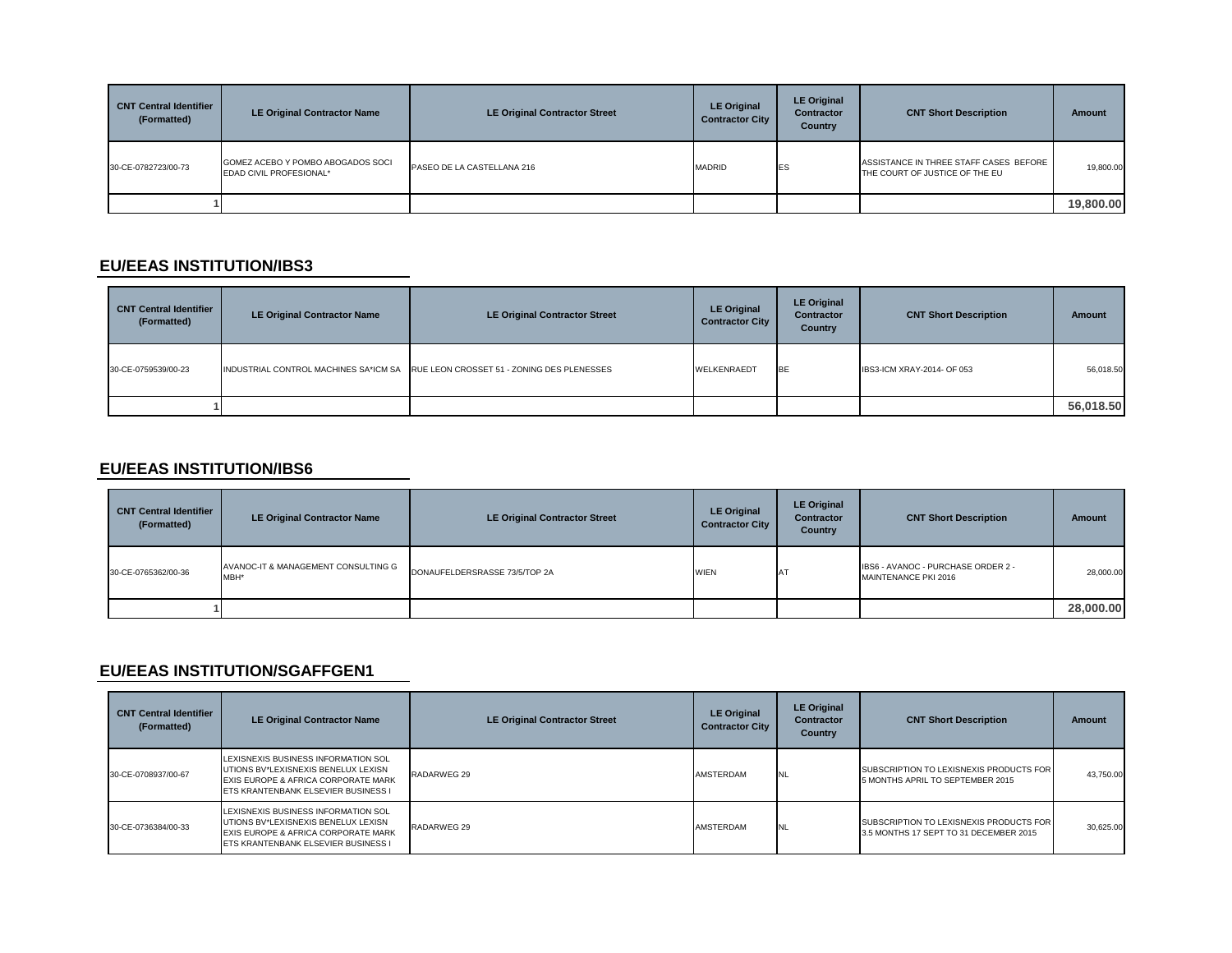| <b>CNT Central Identifier</b><br>(Formatted) | <b>LE Original Contractor Name</b>                           | <b>LE Original Contractor Street</b> | <b>LE Original</b><br><b>Contractor City</b> | <b>LE Original</b><br><b>Contractor</b><br><b>Country</b> | <b>CNT Short Description</b>                                             | <b>Amount</b> |
|----------------------------------------------|--------------------------------------------------------------|--------------------------------------|----------------------------------------------|-----------------------------------------------------------|--------------------------------------------------------------------------|---------------|
| 30-CE-0782723/00-73                          | GOMEZ ACEBO Y POMBO ABOGADOS SOCI<br>EDAD CIVIL PROFESIONAL* | PASEO DE LA CASTELLANA 216           | <b>MADRID</b>                                | <b>IES</b>                                                | ASSISTANCE IN THREE STAFF CASES BEFORE<br>THE COURT OF JUSTICE OF THE EU | 19,800.00     |
|                                              |                                                              |                                      |                                              |                                                           |                                                                          | 19,800.00     |

#### **EU/EEAS INSTITUTION/IBS3**

| <b>CNT Central Identifier</b><br>(Formatted) | <b>LE Original Contractor Name</b> | <b>LE Original Contractor Street</b>                                             | <b>LE Original</b><br><b>Contractor City</b> | <b>LE Original</b><br><b>Contractor</b><br><b>Country</b> | <b>CNT Short Description</b> | <b>Amount</b> |
|----------------------------------------------|------------------------------------|----------------------------------------------------------------------------------|----------------------------------------------|-----------------------------------------------------------|------------------------------|---------------|
| 30-CE-0759539/00-23                          |                                    | INDUSTRIAL CONTROL MACHINES SA*ICM SA RUE LEON CROSSET 51 - ZONING DES PLENESSES | WELKENRAEDT                                  | <b>IBE</b>                                                | IBS3-ICM XRAY-2014- OF 053   | 56,018.50     |
|                                              |                                    |                                                                                  |                                              |                                                           |                              | 56,018.50     |

# **EU/EEAS INSTITUTION/IBS6**

| <b>CNT Central Identifier</b><br>(Formatted) | <b>LE Original Contractor Name</b>          | <b>LE Original Contractor Street</b> | <b>LE Original</b><br><b>Contractor City</b> | <b>LE Original</b><br><b>Contractor</b><br>Country | <b>CNT Short Description</b>                               | <b>Amount</b> |
|----------------------------------------------|---------------------------------------------|--------------------------------------|----------------------------------------------|----------------------------------------------------|------------------------------------------------------------|---------------|
| 30-CE-0765362/00-36                          | AVANOC-IT & MANAGEMENT CONSULTING G<br>MBH* | DONAUFELDERSRASSE 73/5/TOP 2A        | <b>WIEN</b>                                  | <b>AT</b>                                          | IBS6 - AVANOC - PURCHASE ORDER 2 -<br>MAINTENANCE PKI 2016 | 28,000.00     |
|                                              |                                             |                                      |                                              |                                                    |                                                            | 28,000.00     |

### **EU/EEAS INSTITUTION/SGAFFGEN1**

| <b>CNT Central Identifier</b><br>(Formatted) | <b>LE Original Contractor Name</b>                                                                                                                       | <b>LE Original Contractor Street</b> | <b>LE Original</b><br><b>Contractor City</b> | <b>LE Original</b><br><b>Contractor</b><br>Country | <b>CNT Short Description</b>                                                      | <b>Amount</b> |
|----------------------------------------------|----------------------------------------------------------------------------------------------------------------------------------------------------------|--------------------------------------|----------------------------------------------|----------------------------------------------------|-----------------------------------------------------------------------------------|---------------|
| 30-CE-0708937/00-67                          | LEXISNEXIS BUSINESS INFORMATION SOL<br>UTIONS BV*LEXISNEXIS BENELUX LEXISN<br>EXIS EUROPE & AFRICA CORPORATE MARK<br>ETS KRANTENBANK ELSEVIER BUSINESS I | RADARWEG 29                          | AMSTERDAM                                    | <b>NL</b>                                          | SUBSCRIPTION TO LEXISNEXIS PRODUCTS FOR<br>5 MONTHS APRIL TO SEPTEMBER 2015       | 43.750.00     |
| 30-CE-0736384/00-33                          | LEXISNEXIS BUSINESS INFORMATION SOL<br>UTIONS BV*LEXISNEXIS BENELUX LEXISN<br>EXIS EUROPE & AFRICA CORPORATE MARK<br>ETS KRANTENBANK ELSEVIER BUSINESS I | RADARWEG 29                          | AMSTERDAM                                    | <b>INL</b>                                         | SUBSCRIPTION TO LEXISNEXIS PRODUCTS FOR<br>3.5 MONTHS 17 SEPT TO 31 DECEMBER 2015 | 30.625.00     |